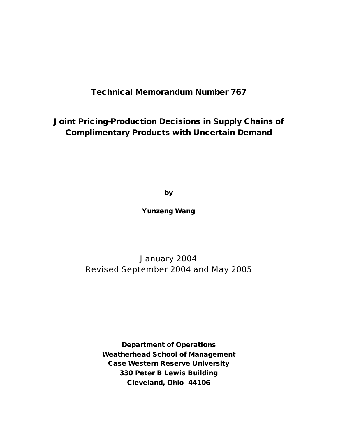# **Technical Memorandum Number 767**

**Joint Pricing-Production Decisions in Supply Chains of Complimentary Products with Uncertain Demand**

**by**

**Yunzeng Wang**

January 2004 Revised September 2004 and May 2005

**Department of Operations Weatherhead School of Management Case Western Reserve University 330 Peter B Lewis Building Cleveland, Ohio 44106**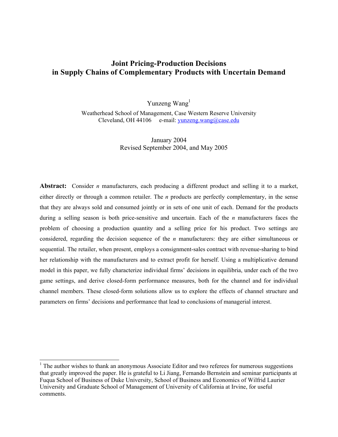# **Joint Pricing-Production Decisions in Supply Chains of Complementary Products with Uncertain Demand**

Yunzeng  $Wang<sup>1</sup>$ 

Weatherhead School of Management, Case Western Reserve University Cleveland, OH 44106 e-mail: yunzeng.wang@case.edu

> January 2004 Revised September 2004, and May 2005

**Abstract:** Consider *n* manufacturers, each producing a different product and selling it to a market, either directly or through a common retailer. The *n* products are perfectly complementary, in the sense that they are always sold and consumed jointly or in sets of one unit of each. Demand for the products during a selling season is both price-sensitive and uncertain. Each of the *n* manufacturers faces the problem of choosing a production quantity and a selling price for his product. Two settings are considered, regarding the decision sequence of the *n* manufacturers: they are either simultaneous or sequential. The retailer, when present, employs a consignment-sales contract with revenue-sharing to bind her relationship with the manufacturers and to extract profit for herself. Using a multiplicative demand model in this paper, we fully characterize individual firms' decisions in equilibria, under each of the two game settings, and derive closed-form performance measures, both for the channel and for individual channel members. These closed-form solutions allow us to explore the effects of channel structure and parameters on firms' decisions and performance that lead to conclusions of managerial interest.

 $\overline{a}$ 

 $<sup>1</sup>$  The author wishes to thank an anonymous Associate Editor and two referees for numerous suggestions</sup> that greatly improved the paper. He is grateful to Li Jiang, Fernando Bernstein and seminar participants at Fuqua School of Business of Duke University, School of Business and Economics of Wilfrid Laurier University and Graduate School of Management of University of California at Irvine, for useful comments.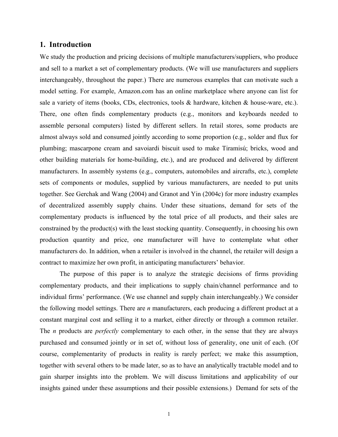## **1. Introduction**

We study the production and pricing decisions of multiple manufacturers/suppliers, who produce and sell to a market a set of complementary products. (We will use manufacturers and suppliers interchangeably, throughout the paper.) There are numerous examples that can motivate such a model setting. For example, Amazon.com has an online marketplace where anyone can list for sale a variety of items (books, CDs, electronics, tools & hardware, kitchen & house-ware, etc.). There, one often finds complementary products (e.g., monitors and keyboards needed to assemble personal computers) listed by different sellers. In retail stores, some products are almost always sold and consumed jointly according to some proportion (e.g., solder and flux for plumbing; mascarpone cream and savoiardi biscuit used to make Tiramisú; bricks, wood and other building materials for home-building, etc.), and are produced and delivered by different manufacturers. In assembly systems (e.g., computers, automobiles and aircrafts, etc.), complete sets of components or modules, supplied by various manufacturers, are needed to put units together. See Gerchak and Wang (2004) and Granot and Yin (2004c) for more industry examples of decentralized assembly supply chains. Under these situations, demand for sets of the complementary products is influenced by the total price of all products, and their sales are constrained by the product(s) with the least stocking quantity. Consequently, in choosing his own production quantity and price, one manufacturer will have to contemplate what other manufacturers do. In addition, when a retailer is involved in the channel, the retailer will design a contract to maximize her own profit, in anticipating manufacturers' behavior.

 The purpose of this paper is to analyze the strategic decisions of firms providing complementary products, and their implications to supply chain/channel performance and to individual firms' performance. (We use channel and supply chain interchangeably.) We consider the following model settings. There are *n* manufacturers, each producing a different product at a constant marginal cost and selling it to a market, either directly or through a common retailer. The *n* products are *perfectly* complementary to each other, in the sense that they are always purchased and consumed jointly or in set of, without loss of generality, one unit of each. (Of course, complementarity of products in reality is rarely perfect; we make this assumption, together with several others to be made later, so as to have an analytically tractable model and to gain sharper insights into the problem. We will discuss limitations and applicability of our insights gained under these assumptions and their possible extensions.) Demand for sets of the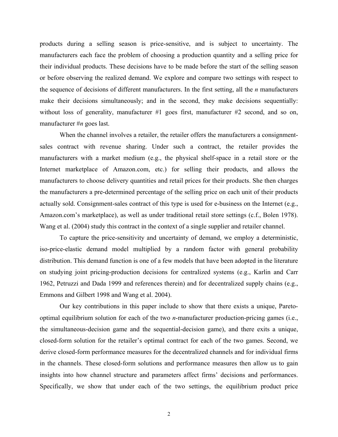products during a selling season is price-sensitive, and is subject to uncertainty. The manufacturers each face the problem of choosing a production quantity and a selling price for their individual products. These decisions have to be made before the start of the selling season or before observing the realized demand. We explore and compare two settings with respect to the sequence of decisions of different manufacturers. In the first setting, all the *n* manufacturers make their decisions simultaneously; and in the second, they make decisions sequentially: without loss of generality, manufacturer #1 goes first, manufacturer #2 second, and so on, manufacturer #*n* goes last.

 When the channel involves a retailer, the retailer offers the manufacturers a consignmentsales contract with revenue sharing. Under such a contract, the retailer provides the manufacturers with a market medium (e.g., the physical shelf-space in a retail store or the Internet marketplace of Amazon.com, etc.) for selling their products, and allows the manufacturers to choose delivery quantities and retail prices for their products. She then charges the manufacturers a pre-determined percentage of the selling price on each unit of their products actually sold. Consignment-sales contract of this type is used for e-business on the Internet (e.g., Amazon.com's marketplace), as well as under traditional retail store settings (c.f., Bolen 1978). Wang et al. (2004) study this contract in the context of a single supplier and retailer channel.

 To capture the price-sensitivity and uncertainty of demand, we employ a deterministic, iso-price-elastic demand model multiplied by a random factor with general probability distribution. This demand function is one of a few models that have been adopted in the literature on studying joint pricing-production decisions for centralized systems (e.g., Karlin and Carr 1962, Petruzzi and Dada 1999 and references therein) and for decentralized supply chains (e.g., Emmons and Gilbert 1998 and Wang et al. 2004).

Our key contributions in this paper include to show that there exists a unique, Paretooptimal equilibrium solution for each of the two *n*-manufacturer production-pricing games (i.e., the simultaneous-decision game and the sequential-decision game), and there exits a unique, closed-form solution for the retailer's optimal contract for each of the two games. Second, we derive closed-form performance measures for the decentralized channels and for individual firms in the channels. These closed-form solutions and performance measures then allow us to gain insights into how channel structure and parameters affect firms' decisions and performances. Specifically, we show that under each of the two settings, the equilibrium product price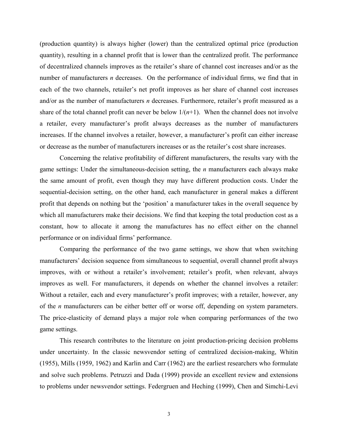(production quantity) is always higher (lower) than the centralized optimal price (production quantity), resulting in a channel profit that is lower than the centralized profit. The performance of decentralized channels improves as the retailer's share of channel cost increases and/or as the number of manufacturers *n* decreases. On the performance of individual firms, we find that in each of the two channels, retailer's net profit improves as her share of channel cost increases and/or as the number of manufacturers *n* decreases. Furthermore, retailer's profit measured as a share of the total channel profit can never be below  $1/(n+1)$ . When the channel does not involve a retailer, every manufacturer's profit always decreases as the number of manufacturers increases. If the channel involves a retailer, however, a manufacturer's profit can either increase or decrease as the number of manufacturers increases or as the retailer's cost share increases.

Concerning the relative profitability of different manufacturers, the results vary with the game settings: Under the simultaneous-decision setting, the *n* manufacturers each always make the same amount of profit, even though they may have different production costs. Under the sequential-decision setting, on the other hand, each manufacturer in general makes a different profit that depends on nothing but the 'position' a manufacturer takes in the overall sequence by which all manufacturers make their decisions. We find that keeping the total production cost as a constant, how to allocate it among the manufactures has no effect either on the channel performance or on individual firms' performance.

Comparing the performance of the two game settings, we show that when switching manufacturers' decision sequence from simultaneous to sequential, overall channel profit always improves, with or without a retailer's involvement; retailer's profit, when relevant, always improves as well. For manufacturers, it depends on whether the channel involves a retailer: Without a retailer, each and every manufacturer's profit improves; with a retailer, however, any of the *n* manufacturers can be either better off or worse off, depending on system parameters. The price-elasticity of demand plays a major role when comparing performances of the two game settings.

This research contributes to the literature on joint production-pricing decision problems under uncertainty. In the classic newsvendor setting of centralized decision-making, Whitin (1955), Mills (1959, 1962) and Karlin and Carr (1962) are the earliest researchers who formulate and solve such problems. Petruzzi and Dada (1999) provide an excellent review and extensions to problems under newsvendor settings. Federgruen and Heching (1999), Chen and Simchi-Levi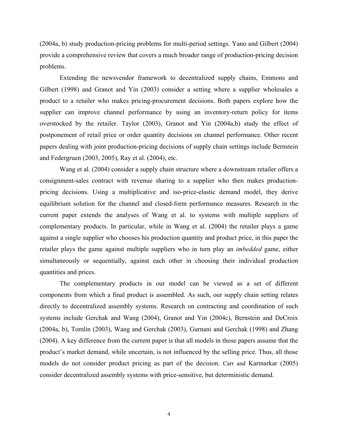(2004a, b) study production-pricing problems for multi-period settings. Yano and Gilbert (2004) provide a comprehensive review that covers a much broader range of production-pricing decision problems.

Extending the newsvendor framework to decentralized supply chains, Emmons and Gilbert (1998) and Granot and Yin (2003) consider a setting where a supplier wholesales a product to a retailer who makes pricing-procurement decisions. Both papers explore how the supplier can improve channel performance by using an inventory-return policy for items overstocked by the retailer. Taylor (2003), Granot and Yin (2004a,b) study the effect of postponement of retail price or order quantity decisions on channel performance. Other recent papers dealing with joint production-pricing decisions of supply chain settings include Bernstein and Federgruen (2003, 2005), Ray et al. (2004), etc.

Wang et al. (2004) consider a supply chain structure where a downstream retailer offers a consignment-sales contract with revenue sharing to a supplier who then makes productionpricing decisions. Using a multiplicative and iso-price-elastic demand model, they derive equilibrium solution for the channel and closed-form performance measures. Research in the current paper extends the analyses of Wang et al. to systems with multiple suppliers of complementary products. In particular, while in Wang et al. (2004) the retailer plays a game against a single supplier who chooses his production quantity and product price, in this paper the retailer plays the game against multiple suppliers who in turn play an *imbedded* game, either simultaneously or sequentially, against each other in choosing their individual production quantities and prices.

The complementary products in our model can be viewed as a set of different components from which a final product is assembled. As such, our supply chain setting relates directly to decentralized assembly systems. Research on contracting and coordination of such systems include Gerchak and Wang (2004), Granot and Yin (2004c), Bernstein and DeCroix (2004a, b), Tomlin (2003), Wang and Gerchak (2003), Gurnani and Gerchak (1998) and Zhang (2004). A key difference from the current paper is that all models in those papers assume that the product's market demand, while uncertain, is not influenced by the selling price. Thus, all those models do not consider product pricing as part of the decision. Carr and Karmarkar (2005) consider decentralized assembly systems with price-sensitive, but deterministic demand.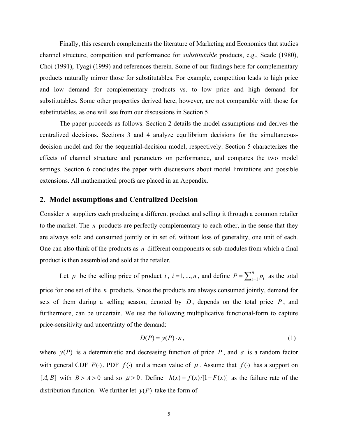Finally, this research complements the literature of Marketing and Economics that studies channel structure, competition and performance for *substitutable* products, e.g., Seade (1980), Choi (1991), Tyagi (1999) and references therein. Some of our findings here for complementary products naturally mirror those for substitutables. For example, competition leads to high price and low demand for complementary products vs. to low price and high demand for substitutables. Some other properties derived here, however, are not comparable with those for substitutables, as one will see from our discussions in Section 5.

The paper proceeds as follows. Section 2 details the model assumptions and derives the centralized decisions. Sections 3 and 4 analyze equilibrium decisions for the simultaneousdecision model and for the sequential-decision model, respectively. Section 5 characterizes the effects of channel structure and parameters on performance, and compares the two model settings. Section 6 concludes the paper with discussions about model limitations and possible extensions. All mathematical proofs are placed in an Appendix.

## **2. Model assumptions and Centralized Decision**

Consider *n* suppliers each producing a different product and selling it through a common retailer to the market. The *n* products are perfectly complementary to each other, in the sense that they are always sold and consumed jointly or in set of, without loss of generality, one unit of each. One can also think of the products as *n* different components or sub-modules from which a final product is then assembled and sold at the retailer.

Let  $p_i$  be the selling price of product *i*,  $i = 1, ..., n$ , and define  $P = \sum_{i=1}^{n} p_i$  as the total price for one set of the *n* products. Since the products are always consumed jointly, demand for sets of them during a selling season, denoted by  $D$ , depends on the total price  $P$ , and furthermore, can be uncertain. We use the following multiplicative functional-form to capture price-sensitivity and uncertainty of the demand:

$$
D(P) = y(P) \cdot \varepsilon \,,\tag{1}
$$

where  $y(P)$  is a deterministic and decreasing function of price P, and  $\varepsilon$  is a random factor with general CDF  $F(\cdot)$ , PDF  $f(\cdot)$  and a mean value of  $\mu$ . Assume that  $f(\cdot)$  has a support on [*A*, *B*] with  $B > A > 0$  and so  $\mu > 0$ . Define  $h(x) = f(x)/[1 - F(x)]$  as the failure rate of the distribution function. We further let  $y(P)$  take the form of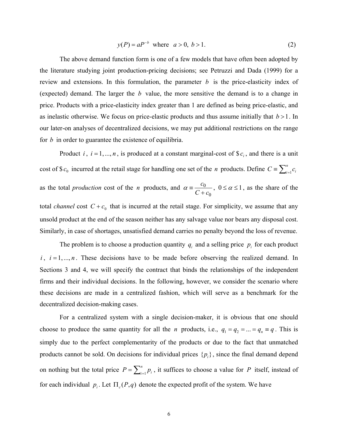$$
y(P) = aP^{-b}
$$
 where  $a > 0, b > 1.$  (2)

The above demand function form is one of a few models that have often been adopted by the literature studying joint production-pricing decisions; see Petruzzi and Dada (1999) for a review and extensions. In this formulation, the parameter *b* is the price-elasticity index of (expected) demand. The larger the *b* value, the more sensitive the demand is to a change in price. Products with a price-elasticity index greater than 1 are defined as being price-elastic, and as inelastic otherwise. We focus on price-elastic products and thus assume initially that  $b > 1$ . In our later-on analyses of decentralized decisions, we may put additional restrictions on the range for *b* in order to guarantee the existence of equilibria.

Product *i*,  $i = 1, ..., n$ , is produced at a constant marginal-cost of  $\mathcal{S}c_i$ , and there is a unit cost of \$ $c_0$  incurred at the retail stage for handling one set of the *n* products. Define  $C = \sum_{i=1}^{n} c_i$ as the total *production* cost of the *n* products, and  $\alpha = \frac{c_0}{a}$  $\overline{0}$ *c*  $\alpha = \frac{c_0}{C + c_0}$ ,  $0 \le \alpha \le 1$ , as the share of the total *channel* cost  $C + c_0$  that is incurred at the retail stage. For simplicity, we assume that any unsold product at the end of the season neither has any salvage value nor bears any disposal cost. Similarly, in case of shortages, unsatisfied demand carries no penalty beyond the loss of revenue.

The problem is to choose a production quantity  $q_i$  and a selling price  $p_i$  for each product  $i, i = 1, \ldots, n$ . These decisions have to be made before observing the realized demand. In Sections 3 and 4, we will specify the contract that binds the relationships of the independent firms and their individual decisions. In the following, however, we consider the scenario where these decisions are made in a centralized fashion, which will serve as a benchmark for the decentralized decision-making cases.

For a centralized system with a single decision-maker, it is obvious that one should choose to produce the same quantity for all the *n* products, i.e.,  $q_1 = q_2 = ... = q_n \equiv q$ . This is simply due to the perfect complementarity of the products or due to the fact that unmatched products cannot be sold. On decisions for individual prices  $\{p_i\}$ , since the final demand depend on nothing but the total price  $P = \sum_{i=1}^{n} p_i$ , it suffices to choose a value for P itself, instead of for each individual  $p_i$ . Let  $\Pi_c(P,q)$  denote the expected profit of the system. We have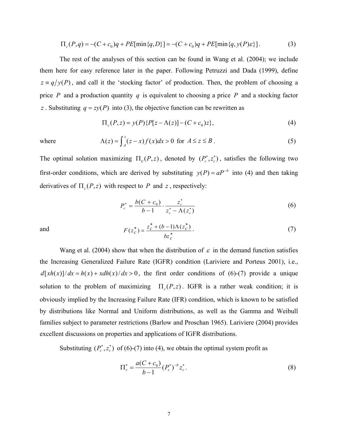$$
\Pi_c(P,q) = -(C + c_0)q + PE[\min\{q, D\}] = -(C + c_0)q + PE[\min\{q, y(P)\varepsilon\}].
$$
\n(3)

The rest of the analyses of this section can be found in Wang et al. (2004); we include them here for easy reference later in the paper. Following Petruzzi and Dada (1999), define  $z \equiv q/y(P)$ , and call it the 'stocking factor' of production. Then, the problem of choosing a price *P* and a production quantity *q* is equivalent to choosing a price *P* and a stocking factor *z*. Substituting  $q = zy(P)$  into (3), the objective function can be rewritten as

$$
\Pi_c(P, z) = y(P)\{P[z - \Lambda(z)] - (C + c_0)z\},\tag{4}
$$

where 
$$
\Lambda(z) = \int_{A}^{z} (z - x) f(x) dx > 0 \text{ for } A \le z \le B.
$$
 (5)

The optimal solution maximizing  $\Pi_c(P, z)$ , denoted by  $(P_c^*, z_c^*)$ , satisfies the following two first-order conditions, which are derived by substituting  $y(P) = aP^{-b}$  into (4) and then taking derivatives of  $\Pi_c(P,z)$  with respect to P and z, respectively:

$$
P_c^* = \frac{b(C + c_0)}{b - 1} \cdot \frac{z_c^*}{z_c^* - \Lambda(z_c^*)}
$$
 (6)

and 
$$
F(z_c^*) = \frac{z_c^* + (b-1)\Lambda(z_c^*)}{bz_c^*}.
$$
 (7)

Wang et al. (2004) show that when the distribution of  $\varepsilon$  in the demand function satisfies the Increasing Generalized Failure Rate (IGFR) condition (Lariviere and Porteus 2001), i.e.,  $d[ xh(x)]/dx = h(x) + xdh(x)/dx > 0$ , the first order conditions of (6)-(7) provide a unique solution to the problem of maximizing  $\Pi_c(P,z)$ . IGFR is a rather weak condition; it is obviously implied by the Increasing Failure Rate (IFR) condition, which is known to be satisfied by distributions like Normal and Uniform distributions, as well as the Gamma and Weibull families subject to parameter restrictions (Barlow and Proschan 1965). Lariviere (2004) provides excellent discussions on properties and applications of IGFR distributions.

Substituting  $(P_c^*, z_c^*)$  of (6)-(7) into (4), we obtain the optimal system profit as

$$
\Pi_c^* = \frac{a(C + c_0)}{b - 1} (P_c^*)^{-b} z_c^*.
$$
 (8)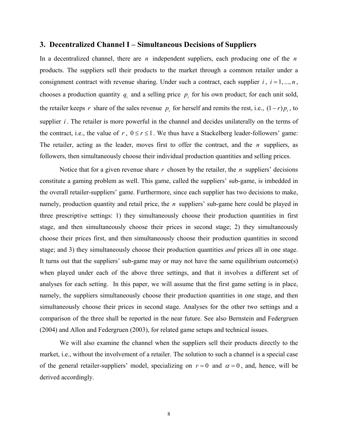# **3. Decentralized Channel I – Simultaneous Decisions of Suppliers**

In a decentralized channel, there are *n* independent suppliers, each producing one of the *n* products. The suppliers sell their products to the market through a common retailer under a consignment contract with revenue sharing. Under such a contract, each supplier  $i$ ,  $i = 1, ..., n$ , chooses a production quantity  $q_i$  and a selling price  $p_i$  for his own product; for each unit sold, the retailer keeps *r* share of the sales revenue  $p_i$  for herself and remits the rest, i.e.,  $(1 - r)p_i$ , to supplier *i*. The retailer is more powerful in the channel and decides unilaterally on the terms of the contract, i.e., the value of  $r$ ,  $0 \le r \le 1$ . We thus have a Stackelberg leader-followers' game: The retailer, acting as the leader, moves first to offer the contract, and the *n* suppliers, as followers, then simultaneously choose their individual production quantities and selling prices.

Notice that for a given revenue share *r* chosen by the retailer, the *n* suppliers' decisions constitute a gaming problem as well. This game, called the suppliers' sub-game, is imbedded in the overall retailer-suppliers' game. Furthermore, since each supplier has two decisions to make, namely, production quantity and retail price, the *n* suppliers' sub-game here could be played in three prescriptive settings: 1) they simultaneously choose their production quantities in first stage, and then simultaneously choose their prices in second stage; 2) they simultaneously choose their prices first, and then simultaneously choose their production quantities in second stage; and 3) they simultaneously choose their production quantities *and* prices all in one stage. It turns out that the suppliers' sub-game may or may not have the same equilibrium outcome(s) when played under each of the above three settings, and that it involves a different set of analyses for each setting. In this paper, we will assume that the first game setting is in place, namely, the suppliers simultaneously choose their production quantities in one stage, and then simultaneously choose their prices in second stage. Analyses for the other two settings and a comparison of the three shall be reported in the near future. See also Bernstein and Federgruen (2004) and Allon and Federgruen (2003), for related game setups and technical issues.

 We will also examine the channel when the suppliers sell their products directly to the market, i.e., without the involvement of a retailer. The solution to such a channel is a special case of the general retailer-suppliers' model, specializing on  $r = 0$  and  $\alpha = 0$ , and, hence, will be derived accordingly.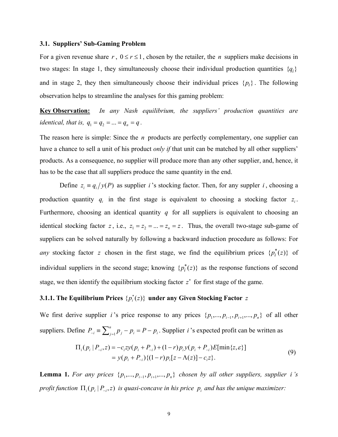#### **3.1. Suppliers' Sub-Gaming Problem**

For a given revenue share  $r$ ,  $0 \le r \le 1$ , chosen by the retailer, the *n* suppliers make decisions in two stages: In stage 1, they simultaneously choose their individual production quantities  ${q_i}$ and in stage 2, they then simultaneously choose their individual prices  $\{p_i\}$ . The following observation helps to streamline the analyses for this gaming problem:

**Key Observation:** *In any Nash equilibrium, the suppliers' production quantities are identical, that is,*  $q_1 = q_2 = ... = q_n = q$ .

The reason here is simple: Since the *n* products are perfectly complementary, one supplier can have a chance to sell a unit of his product *only if* that unit can be matched by all other suppliers' products. As a consequence, no supplier will produce more than any other supplier, and, hence, it has to be the case that all suppliers produce the same quantity in the end.

Define  $z_i = q_i/y(P)$  as supplier *i*'s stocking factor. Then, for any suppler *i*, choosing a production quantity  $q_i$  in the first stage is equivalent to choosing a stocking factor  $z_i$ . Furthermore, choosing an identical quantity  $q$  for all suppliers is equivalent to choosing an identical stocking factor *z*, i.e.,  $z_1 = z_2 = ... = z_n = z$ . Thus, the overall two-stage sub-game of suppliers can be solved naturally by following a backward induction procedure as follows: For *any* stocking factor *z* chosen in the first stage, we find the equilibrium prices  $\{p_i^*(z)\}$  of individual suppliers in the second stage; knowing  $\{p_i^*(z)\}\$ as the response functions of second stage, we then identify the equilibrium stocking factor  $z^*$  for first stage of the game.

# **3.1.1. The Equilibrium Prices**  $\{p_i^*(z)\}$  under any Given Stocking Factor  $z$

We first derive supplier *i* 's price response to any prices  $\{p_1, ..., p_{i-1}, p_{i+1}, ..., p_n\}$  of all other suppliers. Define  $P_{i} \equiv \sum_{i=1}^{n} p_{i} - p_{i} = P - p_{i}$  $P_{i} = \sum_{j=1}^{n} p_j - p_i = P - p_i$ . Supplier *i* 's expected profit can be written as

$$
\Pi_i(p_i | P_{-i}, z) = -c_i z y (p_i + P_{-i}) + (1 - r) p_i y (p_i + P_{-i}) E[\min\{z, \varepsilon\}]
$$
  
=  $y (p_i + P_{-i}) \{ (1 - r) p_i [z - \Lambda(z)] - c_i z \}.$  (9)

**Lemma 1.** For any prices  $\{p_1, ..., p_{i-1}, p_{i+1}, ..., p_n\}$  chosen by all other suppliers, supplier i 's *profit function*  $\Pi_i(p_i | P_{-i}, z)$  *is quasi-concave in his price*  $p_i$  *and has the unique maximizer:*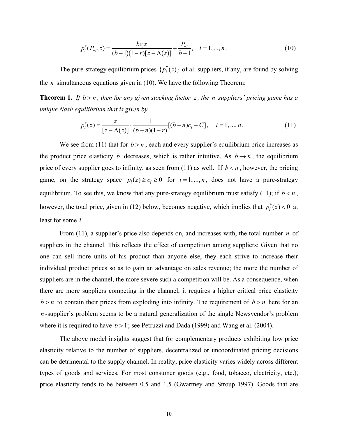$$
p_i^*(P_{-i}, z) = \frac{bc_i z}{(b-1)(1-r)[z-\Lambda(z)]} + \frac{P_{-i}}{b-1}, \quad i = 1, ..., n.
$$
 (10)

The pure-strategy equilibrium prices  $\{p_i^*(z)\}\$  of all suppliers, if any, are found by solving the *n* simultaneous equations given in (10). We have the following Theorem:

**Theorem 1.** *If b* > *n*, *then for any given stocking factor z, the n suppliers' pricing game has a unique Nash equilibrium that is given by* 

$$
p_i^*(z) = \frac{z}{[z - \Lambda(z)]} \cdot \frac{1}{(b - n)(1 - r)}[(b - n)c_i + C], \quad i = 1, ..., n.
$$
 (11)

We see from (11) that for  $b > n$ , each and every supplier's equilibrium price increases as the product price elasticity *b* decreases, which is rather intuitive. As  $b \rightarrow n$ , the equilibrium price of every supplier goes to infinity, as seen from (11) as well. If  $b < n$ , however, the pricing game, on the strategy space  $p_i(z) \ge c_i \ge 0$  for  $i = 1, ..., n$ , does not have a pure-strategy equilibrium. To see this, we know that any pure-strategy equilibrium must satisfy (11); if  $b < n$ , however, the total price, given in (12) below, becomes negative, which implies that  $p_i^*(z) < 0$  at least for some *i* .

From (11), a supplier's price also depends on, and increases with, the total number *n* of suppliers in the channel. This reflects the effect of competition among suppliers: Given that no one can sell more units of his product than anyone else, they each strive to increase their individual product prices so as to gain an advantage on sales revenue; the more the number of suppliers are in the channel, the more severe such a competition will be. As a consequence, when there are more suppliers competing in the channel, it requires a higher critical price elasticity  $b > n$  to contain their prices from exploding into infinity. The requirement of  $b > n$  here for an *n* -supplier's problem seems to be a natural generalization of the single Newsvendor's problem where it is required to have  $b > 1$ ; see Petruzzi and Dada (1999) and Wang et al. (2004).

The above model insights suggest that for complementary products exhibiting low price elasticity relative to the number of suppliers, decentralized or uncoordinated pricing decisions can be detrimental to the supply channel. In reality, price elasticity varies widely across different types of goods and services. For most consumer goods (e.g., food, tobacco, electricity, etc.), price elasticity tends to be between 0.5 and 1.5 (Gwartney and Stroup 1997). Goods that are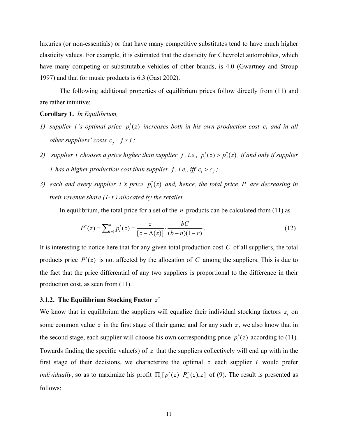luxuries (or non-essentials) or that have many competitive substitutes tend to have much higher elasticity values. For example, it is estimated that the elasticity for Chevrolet automobiles, which have many competing or substitutable vehicles of other brands, is 4.0 (Gwartney and Stroup 1997) and that for music products is 6.3 (Gast 2002).

The following additional properties of equilibrium prices follow directly from (11) and are rather intuitive:

**Corollary 1.** *In Equilibrium,*

- *1)* supplier *i* 's optimal price  $p_i^*(z)$  increases both in his own production cost  $c_i$  and in all *other suppliers' costs*  $c_j$ ,  $j \neq i$ ;
- *2)* supplier *i* chooses a price higher than supplier *j*, *i.e.*,  $p_i^*(z) > p_j^*(z)$ , *if and only if supplier i* has a higher production cost than supplier *j*, *i.e., iff*  $c_i > c_j$ ;
- *3)* each and every supplier i 's price  $p_i^*(z)$  and, hence, the total price P are decreasing in *their revenue share (1-r ) allocated by the retailer.*

In equilibrium, the total price for a set of the *n* products can be calculated from (11) as

$$
P^*(z) = \sum_{i=1}^n p_i^*(z) = \frac{z}{[z - \Lambda(z)]} \cdot \frac{bC}{(b - n)(1 - r)}.
$$
\n(12)

It is interesting to notice here that for any given total production cost *C* of all suppliers, the total products price  $P^*(z)$  is not affected by the allocation of *C* among the suppliers. This is due to the fact that the price differential of any two suppliers is proportional to the difference in their production cost, as seen from (11).

# **3.1.2. The Equilibrium Stocking Factor**  $z^*$

We know that in equilibrium the suppliers will equalize their individual stocking factors  $z_i$  on some common value *z* in the first stage of their game; and for any such *z*, we also know that in the second stage, each supplier will choose his own corresponding price  $p_i^*(z)$  according to (11). Towards finding the specific value(s) of *z* that the suppliers collectively will end up with in the first stage of their decisions, we characterize the optimal *z* each supplier *i* would prefer *individually*, so as to maximize his profit  $\Pi_i[p_i^*(z) | P_{-i}^*(z), z]$  $\Pi_i[p_i^*(z)|P_{-i}^*(z),z]$  of (9). The result is presented as follows: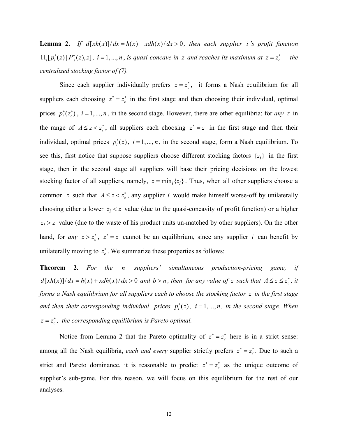**Lemma 2.** *If*  $d[xh(x)]/dx = h(x) + xdh(x)/dx > 0$ , then each supplier i's profit function  $\sum_{i} [ p_i^*(z) | P_{-i}^*(z), z ]$  $\Pi_i[p_i^*(z) | P_{-i}^*(z), z]$ ,  $i = 1, ..., n$ , is quasi-concave in z and reaches its maximum at  $z = z_c^*$  -- the *centralized stocking factor of (7).*

Since each supplier individually prefers  $z = z_c^*$ , it forms a Nash equilibrium for all suppliers each choosing  $z^* = z_c^*$  in the first stage and then choosing their individual, optimal prices  $p_i^*(z_c^*)$ ,  $i = 1, ..., n$ , in the second stage. However, there are other equilibria: for *any z* in the range of  $A \le z < z_c^*$ , all suppliers each choosing  $z^* = z$  in the first stage and then their individual, optimal prices  $p_i^*(z)$ ,  $i = 1, ..., n$ , in the second stage, form a Nash equilibrium. To see this, first notice that suppose suppliers choose different stocking factors  $\{z_i\}$  in the first stage, then in the second stage all suppliers will base their pricing decisions on the lowest stocking factor of all suppliers, namely,  $z = min_i \{ z_i \}$ . Thus, when all other suppliers choose a common *z* such that  $A \leq z < z_c^*$ , any supplier *i* would make himself worse-off by unilaterally choosing either a lower  $z_i < z$  value (due to the quasi-concavity of profit function) or a higher  $z_i > z$  value (due to the waste of his product units un-matched by other suppliers). On the other hand, for *any*  $z > z_c^*$ ,  $z^* = z$  cannot be an equilibrium, since any supplier *i* can benefit by unilaterally moving to  $z_c^*$ . We summarize these properties as follows:

**Theorem 2.** *For the n suppliers' simultaneous production-pricing game, if*   $d[ xh(x)]/dx = h(x) + xdh(x)/dx > 0$  *and*  $b > n$ , *then for any value of z such that*  $A \le z \le z_c^*$ , *it forms a Nash equilibrium for all suppliers each to choose the stocking factor z in the first stage and then their corresponding individual prices*  $p_i^*(z)$ ,  $i = 1, ..., n$ , *in the second stage. When*  $z = z_c^*$ , the corresponding equilibrium is Pareto optimal.

Notice from Lemma 2 that the Pareto optimality of  $z^* = z_c^*$  here is in a strict sense: among all the Nash equilibria, *each and every* supplier strictly prefers  $z^* = z_c^*$ . Due to such a strict and Pareto dominance, it is reasonable to predict  $z^* = z_c^*$  as the unique outcome of supplier's sub-game. For this reason, we will focus on this equilibrium for the rest of our analyses.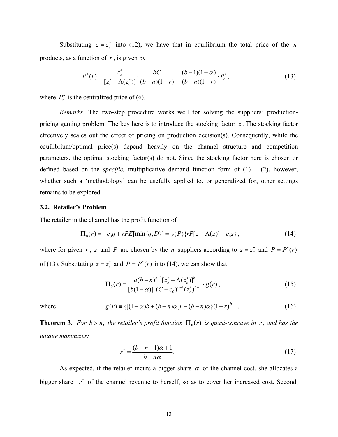Substituting  $z = z_c^*$  into (12), we have that in equilibrium the total price of the *n* products, as a function of *r* , is given by

$$
P^*(r) = \frac{z_c^*}{[z_c^* - \Lambda(z_c^*)]} \cdot \frac{bC}{(b - n)(1 - r)} = \frac{(b - 1)(1 - \alpha)}{(b - n)(1 - r)} \cdot P_c^*,
$$
\n(13)

where  $P_c^*$  is the centralized price of (6).

*Remarks:* The two-step procedure works well for solving the suppliers' productionpricing gaming problem. The key here is to introduce the stocking factor *z*. The stocking factor effectively scales out the effect of pricing on production decision(s). Consequently, while the equilibrium/optimal price(s) depend heavily on the channel structure and competition parameters, the optimal stocking factor(s) do not. Since the stocking factor here is chosen or defined based on the *specific*, multiplicative demand function form of  $(1) - (2)$ , however, whether such a 'methodology' can be usefully applied to, or generalized for, other settings remains to be explored.

#### **3.2. Retailer's Problem**

The retailer in the channel has the profit function of

$$
\Pi_0(r) = -c_0 q + rPE[\min\{q, D\}] = y(P)\{rP[z - \Lambda(z)] - c_0 z\},\tag{14}
$$

where for given *r*, *z* and *P* are chosen by the *n* suppliers according to  $z = z_c^*$  and  $P = P^*(r)$ of (13). Substituting  $z = z_c^*$  and  $P = P^*(r)$  into (14), we can show that

$$
\Pi_0(r) = \frac{a(b-n)^{b-1} [z_c^* - \Lambda(z_c^*)]^b}{[b(1-\alpha)]^b (C + c_0)^{b-1} (z_c^*)^{b-1}} \cdot g(r) , \qquad (15)
$$

where 
$$
g(r) = \{ [(1-\alpha)b + (b-n)\alpha]r - (b-n)\alpha \} (1-r)^{b-1}.
$$
 (16)

**Theorem 3.** *For b* > *n*, *the retailer's profit function*  $\Pi_0(r)$  *is quasi-concave in r, and has the unique maximizer:*

$$
r^* = \frac{(b-n-1)\alpha+1}{b-n\alpha}.\tag{17}
$$

As expected, if the retailer incurs a bigger share  $\alpha$  of the channel cost, she allocates a bigger share *r* <sup>∗</sup> of the channel revenue to herself, so as to cover her increased cost. Second,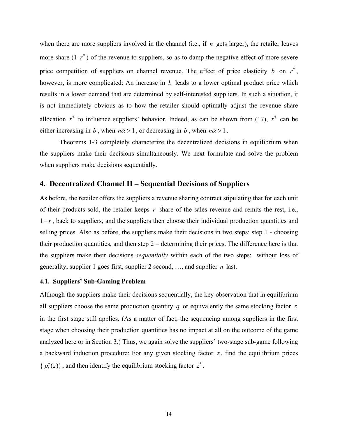when there are more suppliers involved in the channel (i.e., if *n* gets larger), the retailer leaves more share  $(1-r^*)$  of the revenue to suppliers, so as to damp the negative effect of more severe price competition of suppliers on channel revenue. The effect of price elasticity *b* on  $r^*$ , however, is more complicated: An increase in *b* leads to a lower optimal product price which results in a lower demand that are determined by self-interested suppliers. In such a situation, it is not immediately obvious as to how the retailer should optimally adjust the revenue share allocation  $r^*$  to influence suppliers' behavior. Indeed, as can be shown from (17),  $r^*$  can be either increasing in *b*, when  $n\alpha > 1$ , or decreasing in *b*, when  $n\alpha > 1$ .

Theorems 1-3 completely characterize the decentralized decisions in equilibrium when the suppliers make their decisions simultaneously. We next formulate and solve the problem when suppliers make decisions sequentially.

# **4. Decentralized Channel II – Sequential Decisions of Suppliers**

As before, the retailer offers the suppliers a revenue sharing contract stipulating that for each unit of their products sold, the retailer keeps  $r$  share of the sales revenue and remits the rest, i.e., 1− *r*, back to suppliers, and the suppliers then choose their individual production quantities and selling prices. Also as before, the suppliers make their decisions in two steps: step 1 - choosing their production quantities, and then step 2 – determining their prices. The difference here is that the suppliers make their decisions *sequentially* within each of the two steps: without loss of generality, supplier 1 goes first, supplier 2 second, …, and supplier *n* last.

#### **4.1. Suppliers' Sub-Gaming Problem**

Although the suppliers make their decisions sequentially, the key observation that in equilibrium all suppliers choose the same production quantity *q* or equivalently the same stocking factor *z* in the first stage still applies. (As a matter of fact, the sequencing among suppliers in the first stage when choosing their production quantities has no impact at all on the outcome of the game analyzed here or in Section 3.) Thus, we again solve the suppliers' two-stage sub-game following a backward induction procedure: For any given stocking factor *z*, find the equilibrium prices  $\{p_i^*(z)\}\$ , and then identify the equilibrium stocking factor  $z^*$ .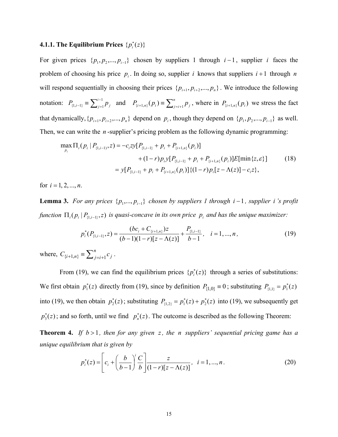# **4.1.1. The Equilibrium Prices**  $\{p_i^*(z)\}$

For given prices  $\{p_1, p_2, ..., p_{i-1}\}$  chosen by suppliers 1 through  $i-1$ , supplier *i* faces the problem of choosing his price  $p_i$ . In doing so, supplier *i* knows that suppliers  $i + 1$  through *n* will respond sequentially in choosing their prices  $\{p_{i+1}, p_{i+2},..., p_n\}$ . We introduce the following notation:  $P_{\{1,i-1\}} \equiv \sum_{j=1}^{i-1}$ *i*  $P_{\{1,i-1\}} \equiv \sum_{j=1}^{i-1} p_j$  and  $P_{\{i+1,n\}}(p_i) \equiv \sum_{j=i+1}^n p_j$ , where in  $P_{\{i+1,n\}}(p_i)$  we stress the fact that dynamically,  $\{p_{i+1}, p_{i+2},..., p_n\}$  depend on  $p_i$ , though they depend on  $\{p_1, p_2,..., p_{i-1}\}$  as well. Then, we can write the *n*-supplier's pricing problem as the following dynamic programming:

$$
\max_{p_i} \Pi_i(p_i | P_{\{1, i-1\}}, z) = -c_i z y [P_{\{1, i-1\}} + p_i + P_{\{i+1, n\}}(p_i)] + (1-r) p_i y [P_{\{1, i-1\}} + p_i + P_{\{i+1, n\}}(p_i)] E [\min\{z, \varepsilon\}] = y [P_{\{1, i-1\}} + p_i + P_{\{i+1, n\}}(p_i)] \{ (1-r) p_i [z - \Lambda(z)] - c_i z \},
$$
(18)

for  $i = 1, 2, ..., n$ .

**Lemma 3.** *For any prices*  $\{p_1, ..., p_{i-1}\}$  *chosen by suppliers 1 through i* −1, *supplier i 's profit function*  $\Pi_i(p_i | P_{\{1,i-1\}}, z)$  *is quasi-concave in its own price*  $p_i$  *and has the unique maximizer:* 

$$
p_i^*(P_{\{1,i-1\}},z) = \frac{(bc_i + C_{\{i+1,n\}})z}{(b-1)(1-r)[z-\Lambda(z)]} + \frac{P_{\{1,i-1\}}}{b-1}, \quad i=1,...,n,
$$
\n(19)

where,  $C_{\{i+1,n\}} \equiv \sum_{j=i+1}^{n} c_j$ .

From (19), we can find the equilibrium prices  $\{p_i^*(z)\}\$  through a series of substitutions: We first obtain  $p_1^*(z)$  directly from (19), since by definition  $P_{\{1,0\}} = 0$ ; substituting  $P_{\{1,1\}} = p_1^*(z)$ into (19), we then obtain  $p_2^*(z)$ ; substituting  $P_{\{1,2\}} = p_1^*(z) + p_2^*(z)$  into (19), we subsequently get  $p_3^*(z)$ ; and so forth, until we find  $p_n^*(z)$ . The outcome is described as the following Theorem:

**Theorem 4.** *If b* > 1, *then for any given z, the n suppliers' sequential pricing game has a unique equilibrium that is given by*

$$
p_i^*(z) = \left[ c_i + \left( \frac{b}{b-1} \right)^i \frac{C}{b} \right] \frac{z}{(1-r)[z-\Lambda(z)]}, \quad i = 1, ..., n. \tag{20}
$$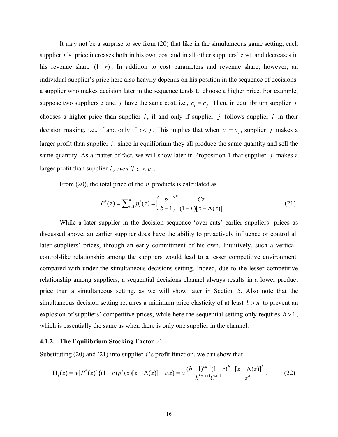It may not be a surprise to see from (20) that like in the simultaneous game setting, each supplier *i*'s price increases both in his own cost and in all other suppliers' cost, and decreases in his revenue share  $(1 - r)$ . In addition to cost parameters and revenue share, however, an individual supplier's price here also heavily depends on his position in the sequence of decisions: a supplier who makes decision later in the sequence tends to choose a higher price. For example, suppose two suppliers *i* and *j* have the same cost, i.e.,  $c_i = c_j$ . Then, in equilibrium supplier *j* chooses a higher price than supplier  $i$ , if and only if supplier  $j$  follows supplier  $i$  in their decision making, i.e., if and only if  $i < j$ . This implies that when  $c_i = c_j$ , supplier *j* makes a larger profit than supplier *i* , since in equilibrium they all produce the same quantity and sell the same quantity. As a matter of fact, we will show later in Proposition 1 that supplier *j* makes a larger profit than supplier *i*, *even if*  $c_i < c_j$ .

From (20), the total price of the *n* products is calculated as

$$
P^*(z) = \sum_{i=1}^n p_i^*(z) = \left(\frac{b}{b-1}\right)^n \frac{Cz}{(1-r)[z-\Lambda(z)]}.
$$
 (21)

While a later supplier in the decision sequence 'over-cuts' earlier suppliers' prices as discussed above, an earlier supplier does have the ability to proactively influence or control all later suppliers' prices, through an early commitment of his own. Intuitively, such a verticalcontrol-like relationship among the suppliers would lead to a lesser competitive environment, compared with under the simultaneous-decisions setting. Indeed, due to the lesser competitive relationship among suppliers, a sequential decisions channel always results in a lower product price than a simultaneous setting, as we will show later in Section 5. Also note that the simultaneous decision setting requires a minimum price elasticity of at least  $b > n$  to prevent an explosion of suppliers' competitive prices, while here the sequential setting only requires  $b > 1$ , which is essentially the same as when there is only one supplier in the channel.

## **4.1.2.** The Equilibrium Stocking Factor  $z^*$

Substituting (20) and (21) into supplier *i* 's profit function, we can show that

$$
\Pi_i(z) = y[P^*(z)]\{(1-r)p_i^*(z)[z-\Lambda(z)] - c_i z\} = a\frac{(b-1)^{bn-i}(1-r)^b}{b^{bn-i+1}C^{b-1}} \cdot \frac{[z-\Lambda(z)]^b}{z^{b-1}}.
$$
 (22)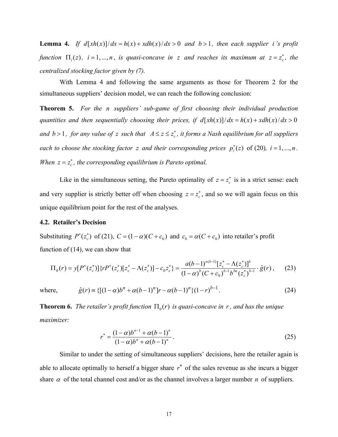**Lemma 4.** *If d*[ $xh(x)/dx = h(x) + xdh(x)/dx > 0$  *and*  $b > 1$ *, then each supplier i's profit function*  $\Pi_i(z)$ ,  $i = 1, ..., n$ , *is quasi-concave in z and reaches its maximum at*  $z = z_c^*$ *, the centralized stocking factor given by (7).*

 With Lemma 4 and following the same arguments as those for Theorem 2 for the simultaneous suppliers' decision model, we can reach the following conclusion:

**Theorem 5.** *For the n suppliers' sub-game of first choosing their individual production quantities and then sequentially choosing their prices, if*  $d[ xh(x)]/dx = h(x) + xdh(x)/dx > 0$ *and b* > 1*, for any value of z such that*  $A \le z \le z_c^*$ , *it forms a Nash equilibrium for all suppliers each to choose the stocking factor z and their corresponding prices*  $p_i^*(z)$  *of (20),*  $i = 1, ..., n$ *. When*  $z = z_c^*$ , the corresponding equilibrium is Pareto optimal.

Like in the simultaneous setting, the Pareto optimality of  $z = z_c^*$  is in a strict sense: each and very supplier is strictly better off when choosing  $z = z_c^*$ , and so we will again focus on this unique equilibrium point for the rest of the analyses.

### **4.2. Retailer's Decision**

Substituting  $P^*(z_c^*)$  of (21),  $C = (1 - \alpha)(C + c_0)$  and  $c_0 = \alpha(C + c_0)$  into retailer's profit function of (14), we can show that

$$
\Pi_0(r) = y[P^*(z_c^*)] \{ rP^*(z_c^*)[z_c^* - \Lambda(z_c^*)] - c_0 z_c^* \} = \frac{a(b-1)^{n(b-1)}[z_c^* - \Lambda(z_c^*)]^b}{(1-\alpha)^b (C + c_0)^{b-1} b^{bn} (z_c^*)^{b-1}} \cdot \hat{g}(r) ,\tag{23}
$$

where,  $\hat{g}(r) = \{[(1 - \alpha)b^{n} + \alpha(b-1)^{n}]r - \alpha(b-1)^{n}\}(1 - r)^{b-1}$ . (24)

**Theorem 6.** *The retailer's profit function*  $\Pi_0(r)$  *is quasi-concave in r, and has the unique maximizer:*

$$
r^* = \frac{(1-\alpha)b^{n-1} + \alpha(b-1)^n}{(1-\alpha)b^n + \alpha(b-1)^n}.
$$
 (25)

Similar to under the setting of simultaneous suppliers' decisions, here the retailer again is able to allocate optimally to herself a bigger share  $r^*$  of the sales revenue as she incurs a bigger share  $\alpha$  of the total channel cost and/or as the channel involves a larger number *n* of suppliers.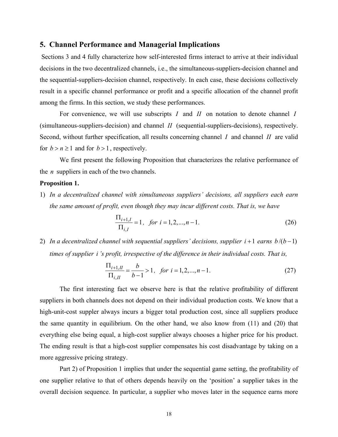### **5. Channel Performance and Managerial Implications**

 Sections 3 and 4 fully characterize how self-interested firms interact to arrive at their individual decisions in the two decentralized channels, i.e., the simultaneous-suppliers-decision channel and the sequential-suppliers-decision channel, respectively. In each case, these decisions collectively result in a specific channel performance or profit and a specific allocation of the channel profit among the firms. In this section, we study these performances.

For convenience, we will use subscripts *I* and *II* on notation to denote channel *I* (simultaneous-suppliers-decision) and channel *II* (sequential-suppliers-decisions), respectively. Second, without further specification, all results concerning channel *I* and channel *II* are valid for  $b > n \ge 1$  and for  $b > 1$ , respectively.

We first present the following Proposition that characterizes the relative performance of the *n* suppliers in each of the two channels.

#### **Proposition 1.**

1) *In a decentralized channel with simultaneous suppliers' decisions, all suppliers each earn the same amount of profit, even though they may incur different costs. That is, we have* 

$$
\frac{\Pi_{i+1,I}}{\Pi_{i,I}} = 1, \text{ for } i = 1, 2, ..., n-1.
$$
 (26)

2) *In a decentralized channel with sequential suppliers' decisions, supplier i* +1 *earns b*  $(b-1)$ *times of supplier i 's profit, irrespective of the difference in their individual costs. That is,* 

$$
\frac{\Pi_{i+1,II}}{\Pi_{i,II}} = \frac{b}{b-1} > 1, \text{ for } i = 1, 2, ..., n-1.
$$
 (27)

 The first interesting fact we observe here is that the relative profitability of different suppliers in both channels does not depend on their individual production costs. We know that a high-unit-cost suppler always incurs a bigger total production cost, since all suppliers produce the same quantity in equilibrium. On the other hand, we also know from (11) and (20) that everything else being equal, a high-cost supplier always chooses a higher price for his product. The ending result is that a high-cost supplier compensates his cost disadvantage by taking on a more aggressive pricing strategy.

 Part 2) of Proposition 1 implies that under the sequential game setting, the profitability of one supplier relative to that of others depends heavily on the 'position' a supplier takes in the overall decision sequence. In particular, a supplier who moves later in the sequence earns more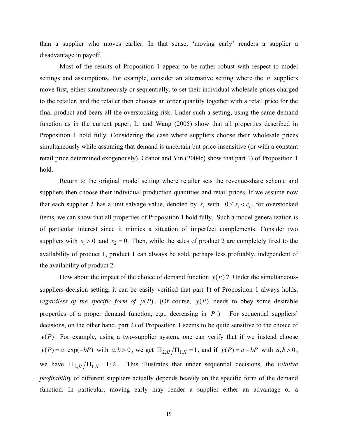than a supplier who moves earlier. In that sense, 'moving early' renders a supplier a disadvantage in payoff.

 Most of the results of Proposition 1 appear to be rather robust with respect to model settings and assumptions. For example, consider an alternative setting where the *n* suppliers move first, either simultaneously or sequentially, to set their individual wholesale prices charged to the retailer, and the retailer then chooses an order quantity together with a retail price for the final product and bears all the overstocking risk. Under such a setting, using the same demand function as in the current paper, Li and Wang (2005) show that all properties described in Proposition 1 hold fully. Considering the case where suppliers choose their wholesale prices simultaneously while assuming that demand is uncertain but price-insensitive (or with a constant retail price determined exogenously), Granot and Yin (2004c) show that part 1) of Proposition 1 hold.

 Return to the original model setting where retailer sets the revenue-share scheme and suppliers then choose their individual production quantities and retail prices. If we assume now that each supplier *i* has a unit salvage value, denoted by  $s_i$  with  $0 \le s_i \lt c_i$ , for overstocked items, we can show that all properties of Proposition 1 hold fully. Such a model generalization is of particular interest since it mimics a situation of imperfect complements: Consider two suppliers with  $s_1 > 0$  and  $s_2 = 0$ . Then, while the sales of product 2 are completely tired to the availability of product 1, product 1 can always be sold, perhaps less profitably, independent of the availability of product 2.

How about the impact of the choice of demand function  $y(P)$ ? Under the simultaneoussuppliers-decision setting, it can be easily verified that part 1) of Proposition 1 always holds, *regardless of the specific form of*  $y(P)$ *.* (Of course,  $y(P)$  needs to obey some desirable properties of a proper demand function, e.g., decreasing in *P* .) For sequential suppliers' decisions, on the other hand, part 2) of Proposition 1 seems to be quite sensitive to the choice of  $y(P)$ . For example, using a two-supplier system, one can verify that if we instead choose  $y(P) = a \cdot \exp(-bP)$  with  $a, b > 0$ , we get  $\Pi_{2,II}/\Pi_{1,II} = 1$ , and if  $y(P) = a - bP$  with  $a, b > 0$ , we have  $\Pi_{2,II}/\Pi_{1,II} = 1/2$ . This illustrates that under sequential decisions, the *relative profitability* of different suppliers actually depends heavily on the specific form of the demand function. In particular, moving early may render a supplier either an advantage or a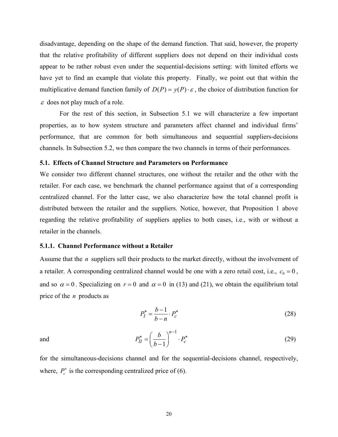disadvantage, depending on the shape of the demand function. That said, however, the property that the relative profitability of different suppliers does not depend on their individual costs appear to be rather robust even under the sequential-decisions setting: with limited efforts we have yet to find an example that violate this property. Finally, we point out that within the multiplicative demand function family of  $D(P) = y(P) \cdot \varepsilon$ , the choice of distribution function for  $\varepsilon$  does not play much of a role.

 For the rest of this section, in Subsection 5.1 we will characterize a few important properties, as to how system structure and parameters affect channel and individual firms' performance, that are common for both simultaneous and sequential suppliers-decisions channels. In Subsection 5.2, we then compare the two channels in terms of their performances.

#### **5.1. Effects of Channel Structure and Parameters on Performance**

We consider two different channel structures, one without the retailer and the other with the retailer. For each case, we benchmark the channel performance against that of a corresponding centralized channel. For the latter case, we also characterize how the total channel profit is distributed between the retailer and the suppliers. Notice, however, that Proposition 1 above regarding the relative profitability of suppliers applies to both cases, i.e., with or without a retailer in the channels.

### **5.1.1. Channel Performance without a Retailer**

Assume that the *n* suppliers sell their products to the market directly, without the involvement of a retailer. A corresponding centralized channel would be one with a zero retail cost, i.e.,  $c_0 = 0$ , and so  $\alpha = 0$ . Specializing on  $r = 0$  and  $\alpha = 0$  in (13) and (21), we obtain the equilibrium total price of the *n* products as

$$
P_I^* = \frac{b-1}{b-n} \cdot P_c^* \tag{28}
$$

$$
P_{II}^* = \left(\frac{b}{b-1}\right)^{n-1} \cdot P_c^* \tag{29}
$$

and

for the simultaneous-decisions channel and for the sequential-decisions channel, respectively, where,  $P_c^*$  is the corresponding centralized price of (6).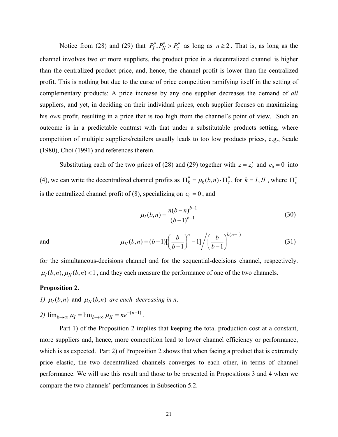Notice from (28) and (29) that  $P_I^*$ ,  $P_I^* > P_c^*$  as long as  $n \ge 2$ . That is, as long as the channel involves two or more suppliers, the product price in a decentralized channel is higher than the centralized product price, and, hence, the channel profit is lower than the centralized profit. This is nothing but due to the curse of price competition ramifying itself in the setting of complementary products: A price increase by any one supplier decreases the demand of *all* suppliers, and yet, in deciding on their individual prices, each supplier focuses on maximizing his *own* profit, resulting in a price that is too high from the channel's point of view. Such an outcome is in a predictable contrast with that under a substitutable products setting, where competition of multiple suppliers/retailers usually leads to too low products prices, e.g., Seade (1980), Choi (1991) and references therein.

Substituting each of the two prices of (28) and (29) together with  $z = z_c^*$  and  $c_0 = 0$  into (4), we can write the decentralized channel profits as  $\Pi_k^* = \mu_k(b,n) \cdot \Pi_c^*$ , for  $k = I, II$ , where  $\Pi_c^*$ is the centralized channel profit of (8), specializing on  $c_0 = 0$ , and

$$
\mu_I(b,n) = \frac{n(b-n)^{b-1}}{(b-1)^{b-1}}
$$
\n(30)

and

$$
\mu_{II}(b,n) = (b-1)[\left(\frac{b}{b-1}\right)^n - 1]\bigg/ \left(\frac{b}{b-1}\right)^{b(n-1)}
$$
(31)

for the simultaneous-decisions channel and for the sequential-decisions channel, respectively.  $\mu_I(b,n), \mu_{II}(b,n) < 1$ , and they each measure the performance of one of the two channels.

#### **Proposition 2.**

- *1)*  $\mu_I(b, n)$  and  $\mu_{II}(b, n)$  are each decreasing in n;
- *2)*  $\lim_{b \to \infty} \mu_I = \lim_{b \to \infty} \mu_{II} = n e^{-(n-1)}$ .

 Part 1) of the Proposition 2 implies that keeping the total production cost at a constant, more suppliers and, hence, more competition lead to lower channel efficiency or performance, which is as expected. Part 2) of Proposition 2 shows that when facing a product that is extremely price elastic, the two decentralized channels converges to each other, in terms of channel performance. We will use this result and those to be presented in Propositions 3 and 4 when we compare the two channels' performances in Subsection 5.2.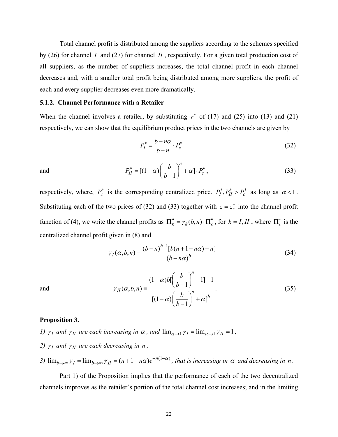Total channel profit is distributed among the suppliers according to the schemes specified by (26) for channel *I* and (27) for channel *II* , respectively. For a given total production cost of all suppliers, as the number of suppliers increases, the total channel profit in each channel decreases and, with a smaller total profit being distributed among more suppliers, the profit of each and every supplier decreases even more dramatically.

#### **5.1.2. Channel Performance with a Retailer**

When the channel involves a retailer, by substituting  $r^*$  of (17) and (25) into (13) and (21) respectively, we can show that the equilibrium product prices in the two channels are given by

$$
P_I^* = \frac{b - n\alpha}{b - n} \cdot P_c^* \tag{32}
$$

and 
$$
P_{II}^* = \left[ (1 - \alpha) \left( \frac{b}{b - 1} \right)^n + \alpha \right] \cdot P_c^*,
$$
 (33)

respectively, where,  $P_c^*$  is the corresponding centralized price.  $P_I^*$ ,  $P_{II}^* > P_c^*$  as long as  $\alpha < 1$ . Substituting each of the two prices of (32) and (33) together with  $z = z_c^*$  into the channel profit function of (4), we write the channel profits as  $\Pi_k^* = \gamma_k(b,n) \cdot \Pi_c^*$ , for  $k = I, II$ , where  $\Pi_c^*$  is the centralized channel profit given in (8) and

$$
\gamma_I(\alpha, b, n) = \frac{(b - n)^{b - 1}[b(n + 1 - n\alpha) - n]}{(b - n\alpha)^b}
$$
\n(34)

and 
$$
\gamma_{II}(\alpha, b, n) = \frac{(1-\alpha)b\left[\left(\frac{b}{b-1}\right)^n - 1\right] + 1}{\left[(1-\alpha)\left(\frac{b}{b-1}\right)^n + \alpha\right]^b}.
$$
 (35)

#### **Proposition 3.**

- *1)*  $\gamma_I$  and  $\gamma_{II}$  are each increasing in  $\alpha$ , and  $\lim_{\alpha \to 1} \gamma_I = \lim_{\alpha \to 1} \gamma_{II} = 1$ ;
- *2)*  $\gamma_I$  and  $\gamma_{II}$  are each decreasing in n;
- *3)*  $\lim_{b\to\infty} \gamma_I = \lim_{b\to\infty} \gamma_{II} = (n+1-n\alpha)e^{-n(1-\alpha)}$ , that is increasing in  $\alpha$  and decreasing in n.

Part 1) of the Proposition implies that the performance of each of the two decentralized channels improves as the retailer's portion of the total channel cost increases; and in the limiting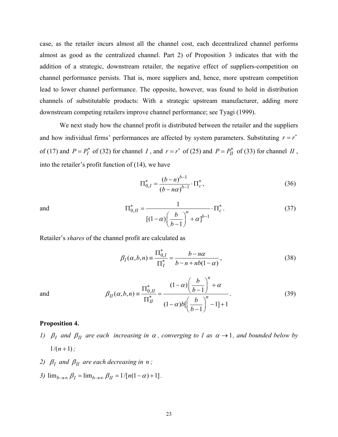case, as the retailer incurs almost all the channel cost, each decentralized channel performs almost as good as the centralized channel. Part 2) of Proposition 3 indicates that with the addition of a strategic, downstream retailer, the negative effect of suppliers-competition on channel performance persists. That is, more suppliers and, hence, more upstream competition lead to lower channel performance. The opposite, however, was found to hold in distribution channels of substitutable products: With a strategic upstream manufacturer, adding more downstream competing retailers improve channel performance; see Tyagi (1999).

We next study how the channel profit is distributed between the retailer and the suppliers and how individual firms' performances are affected by system parameters. Substituting  $r = r^*$ of (17) and  $P = P_I^*$  of (32) for channel *I*, and  $r = r^*$  of (25) and  $P = P_{II}^*$  of (33) for channel *II*, into the retailer's profit function of (14), we have

$$
\Pi_{0,I}^* = \frac{(b-n)^{b-1}}{(b-n\alpha)^{b-1}} \cdot \Pi_c^*,
$$
\n(36)

and 
$$
\Pi_{0,II}^* = \frac{1}{[(1-\alpha)\left(\frac{b}{b-1}\right)^n + \alpha]^{b-1}} \cdot \Pi_c^*.
$$
 (37)

Retailer's *shares* of the channel profit are calculated as

$$
\beta_I(\alpha, b, n) = \frac{\Pi_{0, I}^*}{\Pi_I^*} = \frac{b - n\alpha}{b - n + nb(1 - \alpha)},
$$
\n(38)

and 
$$
\beta_{II}(\alpha, b, n) = \frac{\Pi_{0, II}^*}{\Pi_{II}^*} = \frac{(1-\alpha)\left(\frac{b}{b-1}\right)^n + \alpha}{(1-\alpha)b\left(\frac{b}{b-1}\right)^n - 1 + 1}.
$$
 (39)

**Proposition 4.**

- *1)*  $\beta_I$  and  $\beta_{II}$  are each increasing in  $\alpha$ , converging to 1 as  $\alpha \rightarrow 1$ , and bounded below by  $1/(n+1)$ ;
- *2)*  $\beta_I$  and  $\beta_{II}$  are each decreasing in n;
- *3)*  $\lim_{h\to\infty} \beta_I = \lim_{h\to\infty} \beta_{II} = 1/[n(1-\alpha)+1].$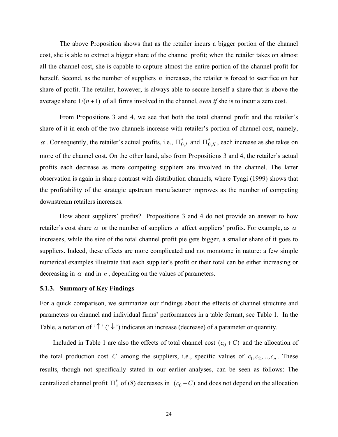The above Proposition shows that as the retailer incurs a bigger portion of the channel cost, she is able to extract a bigger share of the channel profit; when the retailer takes on almost all the channel cost, she is capable to capture almost the entire portion of the channel profit for herself. Second, as the number of suppliers *n* increases, the retailer is forced to sacrifice on her share of profit. The retailer, however, is always able to secure herself a share that is above the average share  $1/(n+1)$  of all firms involved in the channel, *even if* she is to incur a zero cost.

 From Propositions 3 and 4, we see that both the total channel profit and the retailer's share of it in each of the two channels increase with retailer's portion of channel cost, namely,  $\alpha$ . Consequently, the retailer's actual profits, i.e.,  $\Pi_{0,I}^*$  and  $\Pi_{0,II}^*$ , each increase as she takes on more of the channel cost. On the other hand, also from Propositions 3 and 4, the retailer's actual profits each decrease as more competing suppliers are involved in the channel. The latter observation is again in sharp contrast with distribution channels, where Tyagi (1999) shows that the profitability of the strategic upstream manufacturer improves as the number of competing downstream retailers increases.

 How about suppliers' profits? Propositions 3 and 4 do not provide an answer to how retailer's cost share  $\alpha$  or the number of suppliers *n* affect suppliers' profits. For example, as  $\alpha$ increases, while the size of the total channel profit pie gets bigger, a smaller share of it goes to suppliers. Indeed, these effects are more complicated and not monotone in nature: a few simple numerical examples illustrate that each supplier's profit or their total can be either increasing or decreasing in  $\alpha$  and in  $n$ , depending on the values of parameters.

#### **5.1.3. Summary of Key Findings**

For a quick comparison, we summarize our findings about the effects of channel structure and parameters on channel and individual firms' performances in a table format, see Table 1. In the Table, a notation of ' $\uparrow$ ' (' $\downarrow$ ') indicates an increase (decrease) of a parameter or quantity.

Included in Table 1 are also the effects of total channel cost  $(c_0 + C)$  and the allocation of the total production cost *C* among the suppliers, i.e., specific values of  $c_1, c_2, ..., c_n$ . These results, though not specifically stated in our earlier analyses, can be seen as follows: The centralized channel profit  $\prod_{c}^{*}$  of (8) decreases in  $(c_0 + C)$  and does not depend on the allocation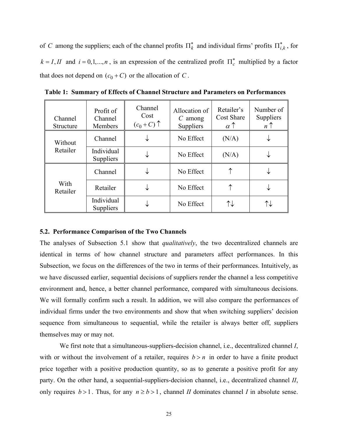of *C* among the suppliers; each of the channel profits  $\prod_{k=1}^{k}$  and individual firms' profits  $\prod_{i,k=1}^{k}$ , for  $k = I, II$  and  $i = 0,1,...,n$ , is an expression of the centralized profit  $\prod_{c}^{*}$  multiplied by a factor that does not depend on  $(c_0 + C)$  or the allocation of *C*.

| Channel<br>Structure | Profit of<br>Channel<br>Members | Channel<br>Cost<br>$(c_0+C)$ | Allocation of<br>$C$ among<br>Suppliers | Retailer's<br><b>Cost Share</b><br>$\alpha$ $\uparrow$ | Number of<br>Suppliers<br>$n \uparrow$ |
|----------------------|---------------------------------|------------------------------|-----------------------------------------|--------------------------------------------------------|----------------------------------------|
| Without<br>Retailer  | Channel                         |                              | No Effect                               | (N/A)                                                  |                                        |
|                      | Individual<br><b>Suppliers</b>  |                              | No Effect                               | (N/A)                                                  |                                        |
| With<br>Retailer     | Channel                         |                              | No Effect                               |                                                        |                                        |
|                      | Retailer                        |                              | No Effect                               |                                                        |                                        |
|                      | Individual<br><b>Suppliers</b>  |                              | No Effect                               |                                                        |                                        |

 **Table 1: Summary of Effects of Channel Structure and Parameters on Performances** 

#### **5.2. Performance Comparison of the Two Channels**

The analyses of Subsection 5.1 show that *qualitatively*, the two decentralized channels are identical in terms of how channel structure and parameters affect performances. In this Subsection, we focus on the differences of the two in terms of their performances. Intuitively, as we have discussed earlier, sequential decisions of suppliers render the channel a less competitive environment and, hence, a better channel performance, compared with simultaneous decisions. We will formally confirm such a result. In addition, we will also compare the performances of individual firms under the two environments and show that when switching suppliers' decision sequence from simultaneous to sequential, while the retailer is always better off, suppliers themselves may or may not.

We first note that a simultaneous-suppliers-decision channel, i.e., decentralized channel *I*, with or without the involvement of a retailer, requires  $b > n$  in order to have a finite product price together with a positive production quantity, so as to generate a positive profit for any party. On the other hand, a sequential-suppliers-decision channel, i.e., decentralized channel *II*, only requires  $b > 1$ . Thus, for any  $n \ge b > 1$ , channel *II* dominates channel *I* in absolute sense.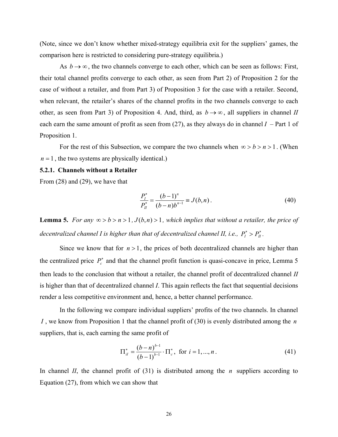(Note, since we don't know whether mixed-strategy equilibria exit for the suppliers' games, the comparison here is restricted to considering pure-strategy equilibria.)

As  $b \rightarrow \infty$ , the two channels converge to each other, which can be seen as follows: First, their total channel profits converge to each other, as seen from Part 2) of Proposition 2 for the case of without a retailer, and from Part 3) of Proposition 3 for the case with a retailer. Second, when relevant, the retailer's shares of the channel profits in the two channels converge to each other, as seen from Part 3) of Proposition 4. And, third, as  $b \rightarrow \infty$ , all suppliers in channel *II* each earn the same amount of profit as seen from  $(27)$ , as they always do in channel  $I$  – Part 1 of Proposition 1.

For the rest of this Subsection, we compare the two channels when  $\infty > b > n > 1$ . (When  $n = 1$ , the two systems are physically identical.)

### **5.2.1. Channels without a Retailer**

From (28) and (29), we have that

$$
\frac{P_I^*}{P_I^*} = \frac{(b-1)^n}{(b-n)b^{n-1}} \equiv J(b,n) \,. \tag{40}
$$

**Lemma 5.** *For any*  $\infty > b > n > 1$ ,  $J(b, n) > 1$ , which implies that without a retailer, the price of *decentralized channel I is higher than that of decentralized channel II, i.e.,*  $P_I^* > P_{II}^*$ .

Since we know that for  $n > 1$ , the prices of both decentralized channels are higher than the centralized price  $P_c^*$  and that the channel profit function is quasi-concave in price, Lemma 5 then leads to the conclusion that without a retailer, the channel profit of decentralized channel *II* is higher than that of decentralized channel *I*. This again reflects the fact that sequential decisions render a less competitive environment and, hence, a better channel performance.

 In the following we compare individual suppliers' profits of the two channels. In channel *I* , we know from Proposition 1 that the channel profit of (30) is evenly distributed among the *n* suppliers, that is, each earning the same profit of

$$
\Pi_{il}^* = \frac{(b-n)^{b-l}}{(b-l)^{b-l}} \cdot \Pi_c^*, \text{ for } i = 1, ..., n.
$$
 (41)

In channel *II*, the channel profit of (31) is distributed among the *n* suppliers according to Equation (27), from which we can show that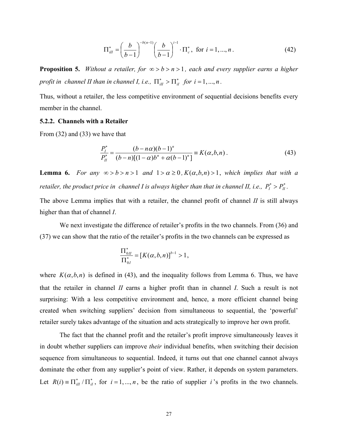$$
\Pi_{iII}^* = \left(\frac{b}{b-1}\right)^{-b(n-1)} \left(\frac{b}{b-1}\right)^{i-1} \cdot \Pi_c^*, \text{ for } i = 1, ..., n. \tag{42}
$$

**Proposition 5.** Without a retailer, for  $\infty > b > n > 1$ , each and every supplier earns a higher *profit in channel II than in channel I, i.e.,*  $\prod_{i=1}^{n}$  >  $\prod_{i=1}^{n}$  *for i* = 1,..., *n*.

Thus, without a retailer, the less competitive environment of sequential decisions benefits every member in the channel.

### **5.2.2. Channels with a Retailer**

From (32) and (33) we have that

$$
\frac{P_I^*}{P_{II}^*} = \frac{(b - n\alpha)(b - 1)^n}{(b - n)[(1 - \alpha)b^n + \alpha(b - 1)^n]} \equiv K(\alpha, b, n).
$$
\n(43)

**Lemma 6.** *For any*  $\infty > b > n > 1$  *and*  $1 > a \ge 0$ ,  $K(\alpha, b, n) > 1$ , *which implies that with a retailer, the product price in channel I is always higher than that in channel II, i.e.,*  $P_I^* > P_{II}^*$ *.* The above Lemma implies that with a retailer, the channel profit of channel *II* is still always higher than that of channel *I*.

 We next investigate the difference of retailer's profits in the two channels. From (36) and (37) we can show that the ratio of the retailer's profits in the two channels can be expressed as

$$
\frac{\Pi_{0I}^*}{\Pi_{0I}^*} = [K(\alpha, b, n)]^{b-1} > 1,
$$

where  $K(\alpha, b, n)$  is defined in (43), and the inequality follows from Lemma 6. Thus, we have that the retailer in channel *II* earns a higher profit than in channel *I*. Such a result is not surprising: With a less competitive environment and, hence, a more efficient channel being created when switching suppliers' decision from simultaneous to sequential, the 'powerful' retailer surely takes advantage of the situation and acts strategically to improve her own profit.

The fact that the channel profit and the retailer's profit improve simultaneously leaves it in doubt whether suppliers can improve *their* individual benefits, when switching their decision sequence from simultaneous to sequential. Indeed, it turns out that one channel cannot always dominate the other from any supplier's point of view. Rather, it depends on system parameters. Let  $R(i) = \prod_{i=1}^{k} / \prod_{i=1}^{k}$ , for  $i = 1, ..., n$ , be the ratio of supplier *i*'s profits in the two channels.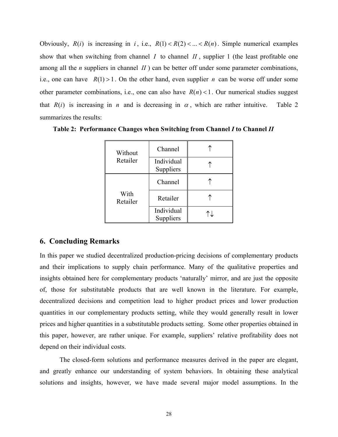Obviously,  $R(i)$  is increasing in *i*, i.e.,  $R(1) < R(2) < ... < R(n)$ . Simple numerical examples show that when switching from channel  $I$  to channel  $II$ , supplier 1 (the least profitable one among all the *n* suppliers in channel *II* ) can be better off under some parameter combinations, i.e., one can have  $R(1) > 1$ . On the other hand, even supplier *n* can be worse off under some other parameter combinations, i.e., one can also have  $R(n)$  < 1. Our numerical studies suggest that  $R(i)$  is increasing in *n* and is decreasing in  $\alpha$ , which are rather intuitive. Table 2 summarizes the results:

| Without          | Channel                 |     |
|------------------|-------------------------|-----|
| Retailer         | Individual<br>Suppliers |     |
|                  | Channel                 |     |
| With<br>Retailer | Retailer                |     |
|                  | Individual<br>Suppliers | N.L |

 **Table 2: Performance Changes when Switching from Channel** *I* **to Channel** *II*

# **6. Concluding Remarks**

In this paper we studied decentralized production-pricing decisions of complementary products and their implications to supply chain performance. Many of the qualitative properties and insights obtained here for complementary products 'naturally' mirror, and are just the opposite of, those for substitutable products that are well known in the literature. For example, decentralized decisions and competition lead to higher product prices and lower production quantities in our complementary products setting, while they would generally result in lower prices and higher quantities in a substitutable products setting. Some other properties obtained in this paper, however, are rather unique. For example, suppliers' relative profitability does not depend on their individual costs.

 The closed-form solutions and performance measures derived in the paper are elegant, and greatly enhance our understanding of system behaviors. In obtaining these analytical solutions and insights, however, we have made several major model assumptions. In the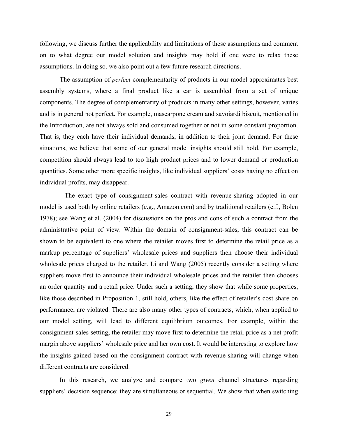following, we discuss further the applicability and limitations of these assumptions and comment on to what degree our model solution and insights may hold if one were to relax these assumptions. In doing so, we also point out a few future research directions.

 The assumption of *perfect* complementarity of products in our model approximates best assembly systems, where a final product like a car is assembled from a set of unique components. The degree of complementarity of products in many other settings, however, varies and is in general not perfect. For example, mascarpone cream and savoiardi biscuit, mentioned in the Introduction, are not always sold and consumed together or not in some constant proportion. That is, they each have their individual demands, in addition to their joint demand. For these situations, we believe that some of our general model insights should still hold. For example, competition should always lead to too high product prices and to lower demand or production quantities. Some other more specific insights, like individual suppliers' costs having no effect on individual profits, may disappear.

 The exact type of consignment-sales contract with revenue-sharing adopted in our model is used both by online retailers (e.g., Amazon.com) and by traditional retailers (c.f., Bolen 1978); see Wang et al. (2004) for discussions on the pros and cons of such a contract from the administrative point of view. Within the domain of consignment-sales, this contract can be shown to be equivalent to one where the retailer moves first to determine the retail price as a markup percentage of suppliers' wholesale prices and suppliers then choose their individual wholesale prices charged to the retailer. Li and Wang (2005) recently consider a setting where suppliers move first to announce their individual wholesale prices and the retailer then chooses an order quantity and a retail price. Under such a setting, they show that while some properties, like those described in Proposition 1, still hold, others, like the effect of retailer's cost share on performance, are violated. There are also many other types of contracts, which, when applied to our model setting, will lead to different equilibrium outcomes. For example, within the consignment-sales setting, the retailer may move first to determine the retail price as a net profit margin above suppliers' wholesale price and her own cost. It would be interesting to explore how the insights gained based on the consignment contract with revenue-sharing will change when different contracts are considered.

 In this research, we analyze and compare two *given* channel structures regarding suppliers' decision sequence: they are simultaneous or sequential. We show that when switching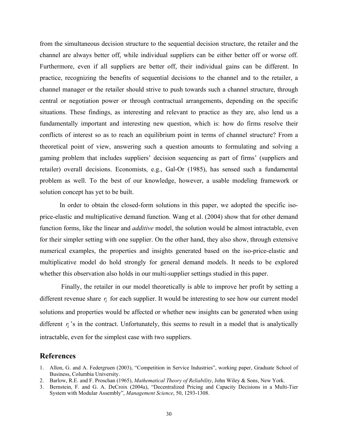from the simultaneous decision structure to the sequential decision structure, the retailer and the channel are always better off, while individual suppliers can be either better off or worse off. Furthermore, even if all suppliers are better off, their individual gains can be different. In practice, recognizing the benefits of sequential decisions to the channel and to the retailer, a channel manager or the retailer should strive to push towards such a channel structure, through central or negotiation power or through contractual arrangements, depending on the specific situations. These findings, as interesting and relevant to practice as they are, also lend us a fundamentally important and interesting new question, which is: how do firms resolve their conflicts of interest so as to reach an equilibrium point in terms of channel structure? From a theoretical point of view, answering such a question amounts to formulating and solving a gaming problem that includes suppliers' decision sequencing as part of firms' (suppliers and retailer) overall decisions. Economists, e.g., Gal-Or (1985), has sensed such a fundamental problem as well. To the best of our knowledge, however, a usable modeling framework or solution concept has yet to be built.

In order to obtain the closed-form solutions in this paper, we adopted the specific isoprice-elastic and multiplicative demand function. Wang et al. (2004) show that for other demand function forms, like the linear and *additive* model, the solution would be almost intractable, even for their simpler setting with one supplier. On the other hand, they also show, through extensive numerical examples, the properties and insights generated based on the iso-price-elastic and multiplicative model do hold strongly for general demand models. It needs to be explored whether this observation also holds in our multi-supplier settings studied in this paper.

 Finally, the retailer in our model theoretically is able to improve her profit by setting a different revenue share  $r_i$  for each supplier. It would be interesting to see how our current model solutions and properties would be affected or whether new insights can be generated when using different  $r_i$ 's in the contract. Unfortunately, this seems to result in a model that is analytically intractable, even for the simplest case with two suppliers.

## **References**

- 1. Allon, G. and A. Federgruen (2003), "Competition in Service Industries", working paper, Graduate School of Business, Columbia University.
- 2. Barlow, R.E. and F. Proschan (1965), *Mathematical Theory of Reliability*, John Wiley & Sons, New York.
- 3. Bernstein, F. and G. A. DeCroix (2004a), "Decentralized Pricing and Capacity Decisions in a Multi-Tier System with Modular Assembly", *Management Science*, 50, 1293-1308.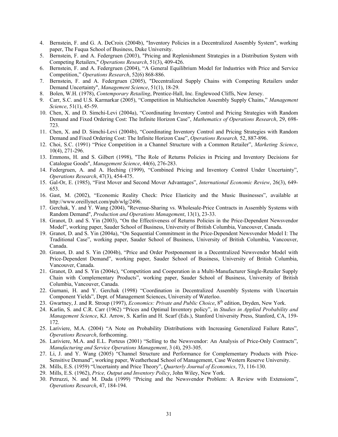- 4. Bernstein, F. and G. A. DeCroix (2004b), "Inventory Policies in a Decentralized Assembly System", working paper, The Fuqua School of Business, Duke University.
- 5. Bernstein, F. and A. Federgruen (2003), "Pricing and Replenishment Strategies in a Distribution System with Competing Retailers," *Operations Research*, 51(3), 409-426.
- 6. Bernstein, F. and A. Federgruen (2004), "A General Equilibrium Model for Industries with Price and Service Competition," *Operations Research*, 52(6) 868-886.
- 7. Bernstein, F. and A. Federgruen (2005), "Decentralized Supply Chains with Competing Retailers under Demand Uncertainty", *Management Science*, 51(1), 18-29.
- 8. Bolen, W.H. (1978), *Contemporary Retailing*, Prentice-Hall, Inc. Englewood Cliffs, New Jersey.
- 9. Carr, S.C. and U.S. Karmarkar (2005), "Competition in Multiechelon Assembly Supply Chains," *Management Science*, 51(1), 45-59.
- 10. Chen, X. and D. Simchi-Levi (2004a), "Coordinating Inventory Control and Pricing Strategies with Random Demand and Fixed Ordering Cost: The Infinite Horizon Case", *Mathematics of Operations Research*, 29, 698- 723.
- 11. Chen, X. and D. Simchi-Levi (2004b), "Coordinating Inventory Control and Pricing Strategies with Random Demand and Fixed Ordering Cost: The Infinite Horizon Case", *Operations Research,* 52, 887-896.
- 12. Choi, S.C. (1991) "Price Competition in a Channel Structure with a Common Retailer", *Marketing Science*, 10(4), 271-296.
- 13. Emmons, H. and S. Gilbert (1998), "The Role of Returns Policies in Pricing and Inventory Decisions for Catalogue Goods", *Management Science*, 44(6), 276-283.
- 14. Federgruen, A. and A. Heching (1999), "Combined Pricing and Inventory Control Under Uncertainty", *Operations Research*, 47(3), 454-475.
- 15. Gal-Or, E. (1985), "First Mover and Second Mover Advantages", *International Economic Review*, 26(3), 649- 653.
- 16. Gast, M. (2002), "Economic Reality Check: Price Elasticity and the Music Businesses", available at http://www.oreillynet.com/pub/wlg/2496.
- 17. Gerchak, Y. and Y. Wang (2004), "Revenue-Sharing vs. Wholesale-Price Contracts in Assembly Systems with Random Demand", *Production and Operations Management*, 13(1), 23-33.
- 18. Granot, D. and S. Yin (2003), "On the Effectiveness of Returns Policies in the Price-Dependent Newsvendor Model", working paper, Sauder School of Business, University of British Columbia, Vancouver, Canada.
- 19. Granot, D. and S. Yin (2004a), "On Sequential Commitment in the Price-Dependent Newsvendor Model I: The Traditional Case", working paper, Sauder School of Business, University of British Columbia, Vancouver, Canada.
- 20. Granot, D. and S. Yin (2004b), "Price and Order Postponement in a Decentralized Newsvendor Model with Price-Dependent Demand", working paper, Sauder School of Business, University of British Columbia, Vancouver, Canada.
- 21. Granot, D. and S. Yin (2004c), "Competition and Cooperation in a Multi-Manufacturer Single-Retailer Supply Chain with Complementary Products", working paper, Sauder School of Business, University of British Columbia, Vancouver, Canada.
- 22. Gurnani, H. and Y. Gerchak (1998) "Coordination in Decentralized Assembly Systems with Uncertain Component Yields", Dept. of Management Sciences, University of Waterloo.
- 23. Gwartney, J. and R. Stroup (1997), *Economics: Private and Public Choice*, 8<sup>th</sup> edition, Dryden, New York.
- 24. Karlin, S. and C.R. Carr (1962) "Prices and Optimal Inventory policy", in *Studies in Applied Probability and Management Science*, KJ. Arrow, S. Karlin and H. Scarf (Eds.), Stanford University Press, Stanford, CA, 159- 172.
- 25. Lariviere, M.A. (2004) "A Note on Probability Distributions with Increasing Generalized Failure Rates", *Operations Research*, forthcoming.
- 26. Lariviere, M.A. and E.L. Porteus (2001) "Selling to the Newsvendor: An Analysis of Price-Only Contracts", *Manufacturing and Service Operations Management*, 3 (4), 293-305.
- 27. Li, J. and Y. Wang (2005) "Channel Structure and Performance for Complementary Products with Price-Sensitive Demand", working paper, Weatherhead School of Management, Case Western Reserve University.
- 28. Mills, E.S. (1959) "Uncertainty and Price Theory", *Quarterly Journal of Economics*, 73, 116-130.
- 29. Mills, E.S. (1962), *Price, Output and Inventory Policy*, John Wiley, New York.
- 30. Petruzzi, N. and M. Dada (1999) "Pricing and the Newsvendor Problem: A Review with Extensions", *Operations Research*, 47, 184-194.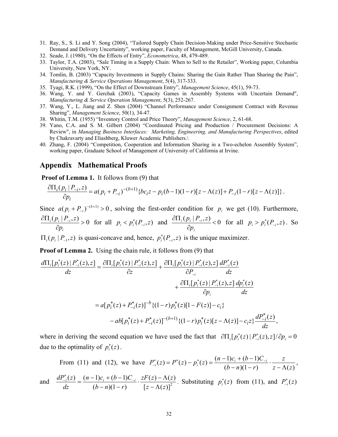- 31. Ray, S., S. Li and Y. Song (2004), "Tailored Supply Chain Decision-Making under Price-Sensitive Stochastic Demand and Delivery Uncertainty", working paper, Faculty of Management, McGill University, Canada.
- 32. Seade, J. (1980), "On the Effects of Entry", *Econometrica*, 48, 479-489.
- 33. Taylor, T.A. (2003), "Sale Timing in a Supply Chain: When to Sell to the Retailer", Working paper, Columbia University, New York, NY.
- 34. Tomlin, B. (2003) "Capacity Investments in Supply Chains: Sharing the Gain Rather Than Sharing the Pain", *Manufacturing & Service Operations Management*, 5(4), 317-333.
- 35. Tyagi, R.K. (1999), "On the Effect of Downstream Entry", *Management Science*, 45(1), 59-73.
- 36. Wang, Y. and Y. Gerchak (2003), "Capacity Games in Assembly Systems with Uncertain Demand", *Manufacturing & Service Operation Management*, 5(3), 252-267.
- 37. Wang, Y., L. Jiang and Z. Shen (2004) "Channel Performance under Consignment Contract with Revenue Sharing", *Management Science*, 50(1), 34-47.
- 38. Whitin, T.M. (1955) "Inventory Control and Price Theory", *Management Science*, 2, 61-68.
- 39. Yano, C.A. and S. M. Gilbert (2004) "Coordinated Pricing and Production / Procurement Decisions: A Review", in *Managing Business Interfaces: Marketing, Engineering, and Manufacturing Perspectives*, edited by Chakravarty and Eliashberg, Kluwer Academic Publishers.\
- 40. Zhang, F. (2004) "Competition, Cooperation and Information Sharing in a Two-echelon Assembly System", working paper, Graduate School of Management of University of California at Irvine.

### **Appendix Mathematical Proofs**

**Proof of Lemma 1.** It follows from (9) that

$$
\frac{\partial \Pi_i(p_i \mid P_{-i}, z)}{\partial p_i} = a(p_i + P_{-i})^{-(b+1)} \{bc_i z - p_i(b-1)(1-r)[z-\Lambda(z)] + P_{-i}(1-r)[z-\Lambda(z)]\}.
$$

Since  $a(p_i + P_{-i})^{-(b+1)} > 0$  $a(p_i + P_{-i})^{-(b+1)} > 0$ , solving the first-order condition for  $p_i$  we get (10). Furthermore,

$$
\frac{\partial \Pi_i(p_i \mid P_{-i}, z)}{\partial p_i} > 0 \quad \text{for all} \quad p_i < p_i^*(P_{-i}, z) \quad \text{and} \quad \frac{\partial \Pi_i(p_i \mid P_{-i}, z)}{\partial p_i} < 0 \quad \text{for all} \quad p_i > p_i^*(P_{-i}, z) \quad \text{So}
$$

 $\Pi_i(p_i | P_{-1}, z)$  is quasi-concave and, hence,  $p_i^*(P_{-i}, z)$  is the unique maximizer.

**Proof of Lemma 2.** Using the chain rule, it follows from (9) that

$$
\frac{d\Pi_{i}[p_{i}^{*}(z)|P_{-i}^{*}(z),z]}{dz} = \frac{\partial\Pi_{i}[p_{i}^{*}(z)|P_{-i}^{*}(z),z]}{\partial z} + \frac{\partial\Pi_{i}[p_{i}^{*}(z)|P_{-i}^{*}(z),z]}{\partial P_{-i}}\frac{dP_{-i}^{*}(z)}{dz} \n+ \frac{\partial\Pi_{i}[p_{i}^{*}(z)|P_{-i}^{*}(z),z]}{\partial p_{i}}\frac{dp_{i}^{*}(z)}{dz} \n= a[p_{i}^{*}(z) + P_{-i}^{*}(z)]^{-b}\{(1-r)p_{i}^{*}(z)[1-F(z)]-c_{i}\} \n- ab[p_{i}^{*}(z) + P_{-i}^{*}(z)]^{-(b+1)}\{(1-r)p_{i}^{*}(z)[z-\Lambda(z)]-c_{i}z\}\frac{dP_{-i}^{*}(z)}{dz},
$$

where in deriving the second equation we have used the fact that  $\partial \Pi_i[p_i^*(z)|P_{-i}^*(z),z]/\partial p_i = 0$  $\sum_{i} [p_i^*(z) | P_{-i}^*(z), z] / \partial p_i$ due to the optimality of  $p_i^*(z)$ .

From (11) and (12), we have 
$$
P_{-i}^*(z) = P^*(z) - p_i^*(z) = \frac{(n-1)c_i + (b-1)C_{-i}}{(b-n)(1-r)} \cdot \frac{z}{z - \Lambda(z)},
$$
  
and 
$$
\frac{dP_{-i}^*(z)}{dz} = \frac{(n-1)c_i + (b-1)C_{-i}}{(b-n)(1-r)} \cdot \frac{zF(z) - \Lambda(z)}{[z - \Lambda(z)]^2}.
$$
 Substituting  $p_i^*(z)$  from (11), and  $P_{-i}^*(z)$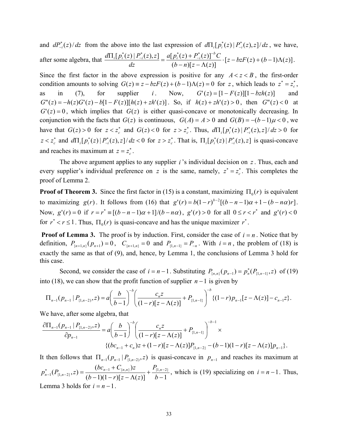and  $dP_{-i}^*(z)/dz$  from the above into the last expression of  $d\Pi_i[p_i^*(z)|P_{-i}^*(z),z]/dz$ , we have, after some algebra, that  $\frac{d\Pi_i[p_i^*(z)|P_{-i}^*(z),z]}{dz} = \frac{a[p_i^*(z)+P_{-i}^*(z)]^{-b}C}{(b-n)[z-\Lambda(z)]} \cdot [z-bzF(z)+(b-1)\Lambda(z)]$  $(b-n)[z-\Lambda(z)]$  $a[p_i^*(z) + P_{-i}^*(z)]^{-b}C$ *dz*  $d\Pi_i[p_i^*(z)|P_{-i}^*(z),z]$   $d[p_i^*(z)+P_{-i}^*(z)]^{-b}$  $\frac{i[P_i(2)]T_{-i}(2),2]}{dz} = \frac{a[P_i(2)+T_{-i}(2)]}{(b-n)[z-\Lambda(z)]} \cdot [z-bzF(z)+(b-1)\Lambda]$  $\Pi_i[p_i^*(z) | P_{-i}^*(z), z] = \frac{a[p_i^*(z) + P_{-i}^*(z)]}{a}$ \*  $\left( -\right)$  -1  $\approx$   $\left[ \infty \right]$ − ∗ . Since the first factor in the above expression is positive for any  $A \leq z \leq B$ , the first-order condition amounts to solving  $G(z) = z - bzF(z) + (b-1)\Lambda(z) = 0$  for *z*, which leads to  $z^* = z_c^*$ , as in (7), for supplier *i*. Now,  $G'(z) = [1 - F(z)][1 - bzh(z)]$  and  $G''(z) = -h(z)G'(z) - b[1 - F(z)][h(z) + zh'(z)].$  So, if  $h(z) + zh'(z) > 0$ , then  $G''(z) < 0$  at  $G'(z) = 0$ , which implies that  $G(z)$  is either quasi-concave or monotonically decreasing. In conjunction with the facts that  $G(z)$  is continuous,  $G(A) = A > 0$  and  $G(B) = -(b-1)\mu < 0$ , we have that  $G(z) > 0$  for  $z < z_c^*$  and  $G(z) < 0$  for  $z > z_c^*$ . Thus,  $d\Pi_i[p_i^*(z) | P_{-i}^*(z), z]/dz > 0$  for  $z < z_c^*$  and  $d\Pi_i[p_i^*(z) | P_{-i}^*(z), z]/dz < 0$  for  $z > z_c^*$ . That is,  $\Pi_i[p_i^*(z) | P_{-i}^*(z), z]$  $\Pi_i[p_i^*(z) | P_{-i}^*(z), z]$  is quasi-concave

and reaches its maximum at  $z = z_c^*$ .

The above argument applies to any supplier *i* 's individual decision on *z*. Thus, each and every supplier's individual preference on *z* is the same, namely,  $z^* = z_c^*$ . This completes the proof of Lemma 2.

**Proof of Theorem 3.** Since the first factor in (15) is a constant, maximizing  $\Pi_0(r)$  is equivalent to maximizing  $g(r)$ . It follows from (16) that  $g'(r) = b(1 - r)^{b-2}[(b-n-1)\alpha + 1 - (b-n\alpha)r]$ . Now,  $g'(r) = 0$  if  $r = r^* \equiv [(b - n - 1)\alpha + 1]/(b - n\alpha)$ ,  $g'(r) > 0$  for all  $0 \le r < r^*$  and  $g'(r) < 0$ for  $r^* < r \le 1$ . Thus,  $\Pi_0(r)$  is quasi-concave and has the unique maximizer  $r^*$ .

**Proof of Lemma 3.** The proof is by induction. First, consider the case of  $i = n$ . Notice that by definition,  $P_{\{n+1,n\}}(p_{n+1}) = 0$ ,  $C_{\{n+1,n\}} = 0$  and  $P_{\{1,n-1\}} = P_{-n}$ . With  $i = n$ , the problem of (18) is exactly the same as that of (9), and, hence, by Lemma 1, the conclusions of Lemma 3 hold for this case.

Second, we consider the case of  $i = n - 1$ . Substituting  $P_{\{n,n\}}(p_{n-1}) = p_n^*(P_{\{1,n-1\}}, z)$  of (19) into (18), we can show that the profit function of supplier *n* −1 is given by

$$
\Pi_{n-1}(p_{n-1} | P_{\{1,n-2\}}, z) = a \left( \frac{b}{b-1} \right)^{-b} \left( \frac{c_n z}{(1-r)[z-\Lambda(z)]} + P_{\{1,n-1\}} \right)^{-b} \left\{ (1-r)p_{n-1}[z-\Lambda(z)] - c_{n-1} z \right\}.
$$

We have, after some algebra, that

$$
\frac{\partial \Pi_{n-1}(p_{n-1} | P_{\{1,n-2\}}, z)}{\partial p_{n-1}} = a \left(\frac{b}{b-1}\right)^{-b} \left(\frac{c_n z}{(1-r)[z-\Lambda(z)]} + P_{\{1,n-1\}}\right)^{-b-1} \times \left\{(bc_{n-1} + c_n)z + (1-r)[z-\Lambda(z)]P_{\{1,n-2\}} - (b-1)(1-r)[z-\Lambda(z)]p_{n-1}\right\}.
$$

It then follows that  $\Pi_{n-1}( p_{n-1} | P_{n-2}, z)$  is quasi-concave in  $p_{n-1}$  and reaches its maximum at  $(b-1)(1 - r)[z - \Lambda(z)]$   $b-1$  $(P_{\{1,n-2\}},z) = \frac{(bc_{n-1}+C_{\{n,n\}})z}{(bc_{n-1}+C_{\{n,n\}})z} + \frac{P_{\{1,n-2\}}}{(bc_{n-1}+C_{\{n,n\}})}$  $_1(P_{\{1,n-2\}},z) = \frac{(\mathcal{O}\mathcal{L}_{n-1} + \mathcal{O}_{\{n,n\}})z}{(b-1)(1-r)[z-\Lambda(z)]} + \frac{1-\{1, n\}}{b-1}$  $+ C_{n-1} + C_{n,n}$   $\bigg) = \frac{(bc_{n-1} + C_{n,n})z}{(b_{n-1})(1-z)^2} + \frac{P_{\{1,n-1\}}}{(b_{n-1})(1-z)^2}$ ∗  $\frac{1}{(b-1)(1-r)[z-\Lambda(z)]}$  +  $\frac{b}{(b-1)(1-r)[z-\Lambda(z)]}$ *P*  $b-1(1-r)[z-\Lambda(z)]$  $p_{n-1}^*(P_{\{1,n-2\}},z) = \frac{(bc_{n-1}+C_{\{n,n\}})z}{(b-1)(1-z)^{n-1}z} + \frac{P_{\{1,n-2\}}}{(b-1)z}$ , which is (19) specializing on  $i = n-1$ . Thus, Lemma 3 holds for  $i = n - 1$ .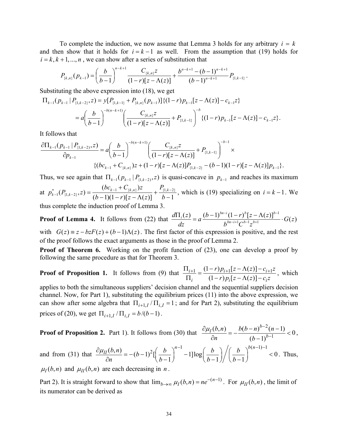To complete the induction, we now assume that Lemma 3 holds for any arbitrary  $i = k$ and then show that it holds for  $i = k - 1$  as well. From the assumption that (19) holds for  $i = k, k + 1, \dots, n$ , we can show after a series of substitution that

$$
P_{\{k,n\}}(p_{k-1}) = \left(\frac{b}{b-1}\right)^{n-k+1} \frac{C_{\{k,n\}}z}{(1-r)[z-\Lambda(z)]} + \frac{b^{n-k+1}-(b-1)^{n-k+1}}{(b-1)^{n-k+1}}P_{\{1,k-1\}}.
$$

Substituting the above expression into (18), we get

$$
\Pi_{k-1}(p_{k-1} | P_{\{1,k-2\}}, z) = y[P_{\{1,k-1\}} + P_{\{k,n\}}(p_{k-1})] \{(1-r)p_{k-1}[z-\Lambda(z)] - c_{k-1}z\}
$$
\n
$$
= a\left(\frac{b}{b-1}\right)^{-b(n-k+1)} \left(\frac{C_{\{k,n\}}z}{(1-r)[z-\Lambda(z)]} + P_{\{1,k-1\}}\right)^{-b} \{(1-r)p_{k-1}[z-\Lambda(z)] - c_{k-1}z\}.
$$

It follows that

$$
\frac{\partial\Pi_{k-1}(p_{k-1}\,|\,P_{\{1,k-2\}},z)}{\partial p_{k-1}} = a\left(\frac{b}{b-1}\right)^{-b(n-k+1)} \left(\frac{C_{\{k,n\}}z}{(1-r)[z-\Lambda(z)]} + P_{\{1,k-1\}}\right)^{-b-1} \times \n\{(bc_{k-1}+C_{\{k,n\}})z + (1-r)[z-\Lambda(z)]P_{\{1,k-2\}} - (b-1)(1-r)[z-\Lambda(z)]p_{k-1}\}.
$$

Thus, we see again that  $\Pi_{k-1}(p_{k-1} | P_{\{1,k-2\}}, z)$  is quasi-concave in  $p_{k-1}$  and reaches its maximum

at  $(b-1)(1 - r)[z - \Lambda(z)]$   $b-1$  $(P_{\{1\ k-2\}},z) = \frac{(bc_{k-1}+C_{\{k,n\}})z}{(b\cdot c_{k-1}+C_{\{k,n\}})z} + \frac{P_{\{1,k-2\}}}{(b\cdot c_{k-1}+C_{\{k,n\}})}$  $_1(P_{\{1,k-2\}},z) = \frac{(\mathcal{O}\mathcal{L}_{k-1} + \mathcal{O}_{\{k,n\}})z}{(b-1)(1-r)[z-\Lambda(z)]} + \frac{1}{b-1}$  $+ C_{k-1} + C_{k,n}$ )z<br>-2, z) =  $\frac{(bc_{k-1} + C_{k,n})z}{(k-1)(1-z)^{k-1}z} + \frac{P_{\{1,k-1\}}}{(k-1)(1-z)^{k-1}}$ ∗  $\frac{1}{(b-1)(1-r)[z-\Lambda(z)]}$  +  $\frac{b}{(b-1)(1-r)[z-\Lambda(z)]}$ *P*  $b-1(1-r)[z-\Lambda(z)]$  $bc_{k-1} + C_{\{k,n\}}$ )z  $p_{k-1}^*(P_{\{1,k-2\}},z) = \frac{(b\epsilon_{k-1} + \epsilon_{\{k,n\}})z}{(k-1)(1-z)(1-z)} + \frac{I_{\{1,k-2\}}}{k-1}$ , which is (19) specializing on  $i = k-1$ . We

thus complete the induction proof of Lemma 3.

**Proof of Lemma 4.** It follows from (22) that  $\frac{d\Pi_i(z)}{dz} = a \frac{(b-1)^{bn-i}(1-r)^b[z-\Lambda(z)]^{b-1}}{b^{bn-i+1}C^{b-1}z^{b+1}} \cdot G(z)$ 1 *G z*  $b^{bn-i+1}C^{b-1}z$  $a \frac{(b-1)^{bn-i}(1-r)^b[z-\Lambda(z)]}{h^{bn-i+1}c^{b-1}b^{n+1}}$ *dz*  $d\Pi_i(z)$  $bn-i+1$   $\neg b-1$   $\neg b$  $\frac{\prod_i(z)}{dz} = a \frac{(b-1)^{bn-i}(1-r)^b [z-\Lambda(z)]^{b-1}}{b^{bn-i+1}C^{b-1}z^{b+1}}$ 

with  $G(z) = z - bzF(z) + (b-1)\Lambda(z)$ . The first factor of this expression is positive, and the rest of the proof follows the exact arguments as those in the proof of Lemma 2.

**Proof of Theorem 6.** Working on the profit function of (23), one can develop a proof by following the same procedure as that for Theorem 3.

**Proof of Proposition 1.** It follows from (9) that  $\frac{\prod_{i+1}}{n} = \frac{(1-r)p_{i+1}[z-\Lambda(z)]-c_{i+1}}{(1-r)p_{i+1}[z-\Lambda(z)]-c_{i+1}}$  $(1 - r)p_i[z - \Lambda(z)]$  $\frac{i+1}{i} = \frac{(1-r)p_{i+1}[2 - \Lambda(2)] - c_i}{r}$  $(i - r)p_i[2 - \Lambda(2)] - c_i$  $r)p_{i+1}[z-\Lambda(z)]-c_{i+1}z$  $\frac{\Pi_{i+1}}{\Pi_i} = \frac{(1-r)p_{i+1}[z-\Lambda(z)] - c_{i+1}z}{(1-r)p_i[z-\Lambda(z)] - c_i z}$ , which

applies to both the simultaneous suppliers' decision channel and the sequential suppliers decision channel. Now, for Part 1), substituting the equilibrium prices (11) into the above expression, we can show after some algebra that  $\Pi_{i+1} / \Pi_{i} = 1$ ; and for Part 2), substituting the equilibrium prices of (20), we get  $\Pi_{i+1, I} / \Pi_{i, I} = b / (b-1)$ .

**Proof of Proposition 2.** Part 1). It follows from (30) that 
$$
\frac{\partial \mu_I(b,n)}{\partial n} = -\frac{b(b-n)^{b-2}(n-1)}{(b-1)^{b-1}} < 0,
$$
and from (31) that 
$$
\frac{\partial \mu_{II}(b,n)}{\partial n} = -(b-1)^2 \left[ \left( \frac{b}{b-1} \right)^{n-1} - 1 \right] \log \left( \frac{b}{b-1} \right) / \left( \frac{b}{b-1} \right)^{b(n-1)-1} < 0.
$$
 Thus, 
$$
\mu_I(b,n) \text{ and } \mu_{II}(b,n) \text{ are each decreasing in } n.
$$

Part 2). It is straight forward to show that  $\lim_{b\to\infty} \mu_I(b,n) = ne^{-(n-1)}$ . For  $\mu_{II}(b,n)$ , the limit of its numerator can be derived as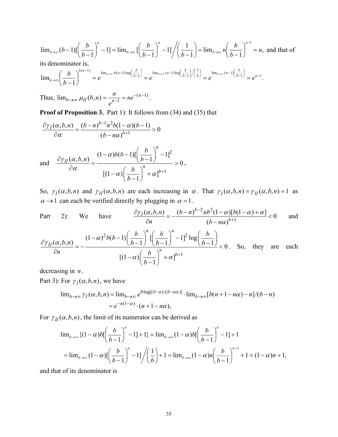$$
\lim_{b \to \infty} (b-1) [\left(\frac{b}{b-1}\right)^n - 1] = \lim_{b \to \infty} [\left(\frac{b}{b-1}\right)^n - 1] \Big/ \left(\frac{1}{b-1}\right) = \lim_{b \to \infty} n \left(\frac{b}{b-1}\right)^{n-1} = n
$$
, and that of  
its denominator is

its denominator is,

$$
\lim_{b\to\infty}\left(\frac{b}{b-1}\right)^{b(n-1)}=e^{\lim_{b\to\infty}b(n-1)\log\left(\frac{b}{b-1}\right)}=e^{\lim_{b\to\infty}(n-1)\log\left(\frac{b}{b-1}\right)\left/\left(\frac{1}{b}\right)}=e^{\lim_{b\to\infty}(n-1)\left(\frac{b}{b-1}\right)}=e^{n-1}.
$$

Thus, 
$$
\lim_{b \to \infty} \mu_{II}(b, n) = \frac{n}{e^{n-1}} = ne^{-(n-1)}
$$
.

**Proof of Proposition 3.** Part 1): It follows from (34) and (35) that

$$
\frac{\partial \gamma_I(\alpha, b, n)}{\partial \alpha} = \frac{(b - n)^{b - 1} n^2 b (1 - \alpha)(b - 1)}{(b - n\alpha)^{b + 1}} > 0
$$

and 
$$
\frac{\partial \gamma_{II}(\alpha, b, n)}{\partial \alpha} = \frac{(1 - \alpha)b(b - 1)[\left(\frac{b}{b - 1}\right)^{n} - 1]^2}{[(1 - \alpha)\left(\frac{b}{b - 1}\right)^{n} + \alpha]^{b + 1}} > 0.
$$

So,  $\gamma_I(\alpha, b, n)$  and  $\gamma_{II}(\alpha, b, n)$  are each increasing in  $\alpha$ . That  $\gamma_I(\alpha, b, n) = \gamma_{II}(\alpha, b, n) = 1$  as  $\alpha \rightarrow 1$  can each be verified directly by plugging in  $\alpha = 1$ .

Part 2): We have 
$$
\frac{\partial \gamma_I(\alpha, b, n)}{\partial n} = -\frac{(b - n)^{b - 2}nb^2(1 - \alpha)[b(1 - \alpha) + \alpha]}{(b - n\alpha)^{b + 1}} < 0
$$
 and

$$
\frac{\partial \gamma_{II}(\alpha, b, n)}{\partial n} = -\frac{(1-\alpha)^2 b(b-1) \left(\frac{b}{b-1}\right)^n \left[\left(\frac{b}{b-1}\right)^n - 1\right]^2 \log\left(\frac{b}{b-1}\right)}{\left[(1-\alpha)\left(\frac{b}{b-1}\right)^n + \alpha\right]^{b+1}} < 0.
$$
 So, they are each

decreasing in *n* .

Part 3): For  $\gamma_I(\alpha, b, n)$ , we have

$$
\lim_{b \to \infty} \gamma_I(\alpha, b, n) = \lim_{b \to \infty} e^{b \log[(b - n)/(b - n\alpha)]} \cdot \lim_{b \to \infty} [b(n + 1 - n\alpha) - n]/(b - n)
$$

$$
= e^{-n(1 - \alpha)} \cdot (n + 1 - n\alpha),
$$

For  $\gamma_{II}(\alpha, b, n)$ , the limit of its numerator can be derived as

$$
\lim_{b \to \infty} \left\{ (1 - \alpha) b \left[ \left( \frac{b}{b - 1} \right)^n - 1 \right] + 1 \right\} = \lim_{b \to \infty} (1 - \alpha) b \left[ \left( \frac{b}{b - 1} \right)^n - 1 \right] + 1
$$
  
= 
$$
\lim_{b \to \infty} (1 - \alpha) \left[ \left( \frac{b}{b - 1} \right)^n - 1 \right] / \left( \frac{1}{b} \right) + 1 = \lim_{b \to \infty} (1 - \alpha) n \left( \frac{b}{b - 1} \right)^{n+1} + 1 = (1 - \alpha) n + 1,
$$

and that of its denominator is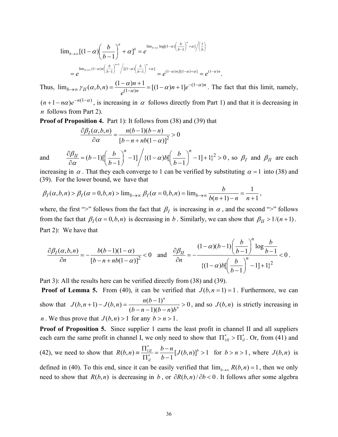$$
\lim_{b\to\infty} \left[ (1-\alpha) \left( \frac{b}{b-1} \right)^n + \alpha \right]^b = e^{\lim_{b\to\infty} \log \left[ (1-\alpha) \left( \frac{b}{b-1} \right)^n + \alpha \right] \bigg/ \left( \frac{1}{b} \right)}
$$
  
=  $e^{\lim_{b\to\infty} (1-\alpha)n \left( \frac{b}{b-1} \right)^{n+1} \bigg/ \left[ (1-\alpha) \left( \frac{b}{b-1} \right)^n + \alpha \right]} = e^{(1-\alpha)n/[(1-\alpha)+\alpha]} = e^{(1-\alpha)n}.$ 

Thus,  $\lim_{b \to \infty} \gamma_H(\alpha, b, n) = \frac{(1 - \alpha)n + 1}{(1 - \alpha)n} = [(1 - \alpha)n + 1]e^{-(1 - \alpha)n}$ *e* α α  $\gamma_{II}(\alpha, b, n) = \frac{(1-\alpha)n+1}{(1-\alpha)n} = [(1-\alpha)n+1]e^{-(1-\alpha)n}$ . The fact that this limit, namely,

 $(n+1-n\alpha)e^{-n(1-\alpha)}$ , is increasing in  $\alpha$  follows directly from Part 1) and that it is decreasing in *n* follows from Part 2).

**Proof of Proposition 4.** Part 1): It follows from (38) and (39) that

$$
\frac{\partial \beta_I(\alpha, b, n)}{\partial \alpha} = \frac{n(b-1)(b-n)}{[b-n+nb(1-\alpha)]^2} > 0
$$

and  $\frac{\partial p_H}{\partial \alpha} = (b-1)[\left(\frac{b}{b-1}\right) -1] / \left\{ (1-\alpha)b[\left(\frac{b}{b-1}\right) -1] +1 \right\}^2 > 0$  $\frac{dI}{dt} = (b-1)[\left(\frac{b}{b-1}\right)^n - 1] / \{(1-\alpha)b[\left(\frac{b}{b-1}\right)^n\}]$  $(b-1)$  <sup>1</sup>/<sup>((1)</sup>  $\omega$ /<sup>2</sup>)  $\theta$  $\frac{\beta_H}{\beta_H} = (b-1)\left[\frac{b}{c-1}\right]^n - 1\frac{1}{2}(1-\alpha)$  $\frac{\partial \beta_{II}}{\partial \alpha} = (b-1) \left[ \left( \frac{b}{b-1} \right)^n - 1 \right] / \left\{ (1-\alpha)b \left[ \left( \frac{b}{b-1} \right)^n - 1 \right] + 1 \right\}^2 > 0$ , so  $\beta_I$  and  $\beta_{II}$  are each

increasing in  $\alpha$ . That they each converge to 1 can be verified by substituting  $\alpha = 1$  into (38) and (39). For the lower bound, we have that

$$
\beta_I(\alpha, b, n) > \beta_I(\alpha = 0, b, n) > \lim_{b \to \infty} \beta_I(\alpha = 0, b, n) = \lim_{b \to \infty} \frac{b}{b(n+1) - n} = \frac{1}{n+1}
$$

where, the first ">" follows from the fact that  $\beta_I$  is increasing in  $\alpha$ , and the second ">" follows from the fact that  $\beta_I (\alpha = 0, b, n)$  is decreasing in *b*. Similarly, we can show that  $\beta_{II} > 1/(n+1)$ . Part 2): We have that

$$
\frac{\partial \beta_I(\alpha, b, n)}{\partial n} = -\frac{b(b-1)(1-\alpha)}{\left[b-n+nb(1-\alpha)\right]^2} < 0 \quad \text{and} \quad \frac{\partial \beta_{II}}{\partial n} = -\frac{(1-\alpha)(b-1)\left(\frac{b}{b-1}\right)^n \log \frac{b}{b-1}}{\left\{(1-\alpha)b\left[\left(\frac{b}{b-1}\right)^n-1\right]+1\right\}^2} < 0.
$$

Part 3): All the results here can be verified directly from (38) and (39).

**Proof of Lemma 5.** From (40), it can be verified that  $J(b, n = 1) = 1$ . Furthermore, we can show that  $J(b, n+1) - J(b, n) = \frac{n(b-1)}{(1 - b)(1 - b)^n} > 0$  $(b, n+1) - J(b, n) = \frac{n(b-1)^n}{(b-n-1)(b-n)b^n} >$  $(b - n - 1)(b - n)b$  $J(b, n+1) - J(b, n) = \frac{n(b-1)^n}{(b-1)(b-1)^n} > 0$ , and so  $J(b, n)$  is strictly increasing in *n*. We thus prove that  $J(b,n) > 1$  for any  $b > n > 1$ .

**Proof of Proposition 5.** Since supplier 1 earns the least profit in channel II and all suppliers each earn the same profit in channel I, we only need to show that  $\Pi_{1II}^* > \Pi_{iI}^*$ . Or, from (41) and

(42), we need to show that 
$$
R(b,n) = \frac{\prod_{j=1}^{k} b - n}{\prod_{j=1}^{k}} [J(b,n)]^{b} > 1
$$
 for  $b > n > 1$ , where  $J(b,n)$  is

defined in (40). To this end, since it can be easily verified that  $\lim_{b\to\infty} R(b,n) = 1$ , then we only need to show that  $R(b,n)$  is decreasing in *b*, or  $\partial R(b,n)/\partial b < 0$ . It follows after some algebra